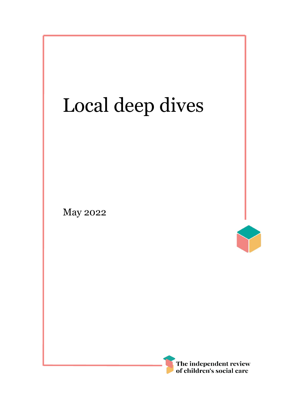# Local deep dives

May 2022



I

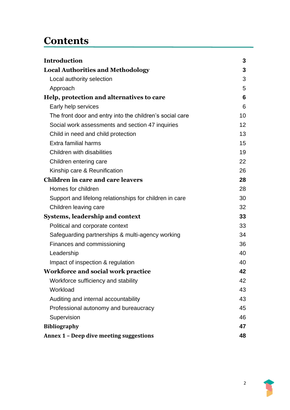# **Contents**

| <b>Introduction</b>                                      | 3  |
|----------------------------------------------------------|----|
| <b>Local Authorities and Methodology</b>                 | 3  |
| Local authority selection                                | 3  |
| Approach                                                 | 5  |
| Help, protection and alternatives to care                | 6  |
| Early help services                                      | 6  |
| The front door and entry into the children's social care | 10 |
| Social work assessments and section 47 inquiries         | 12 |
| Child in need and child protection                       | 13 |
| Extra familial harms                                     | 15 |
| Children with disabilities                               | 19 |
| Children entering care                                   | 22 |
| Kinship care & Reunification                             | 26 |
| Children in care and care leavers                        | 28 |
| Homes for children                                       | 28 |
| Support and lifelong relationships for children in care  | 30 |
| Children leaving care                                    | 32 |
| <b>Systems, leadership and context</b>                   | 33 |
| Political and corporate context                          | 33 |
| Safeguarding partnerships & multi-agency working         | 34 |
| Finances and commissioning                               | 36 |
| Leadership                                               | 40 |
| Impact of inspection & regulation                        | 40 |
| Workforce and social work practice                       | 42 |
| Workforce sufficiency and stability                      | 42 |
| Workload                                                 | 43 |
| Auditing and internal accountability                     | 43 |
| Professional autonomy and bureaucracy                    | 45 |
| Supervision                                              | 46 |
| <b>Bibliography</b>                                      | 47 |
| Annex 1 - Deep dive meeting suggestions                  | 48 |

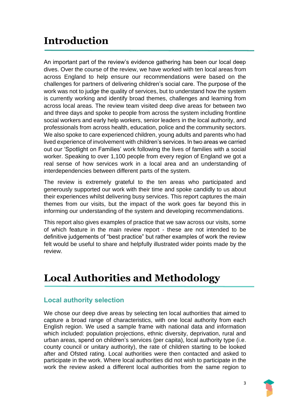# <span id="page-2-0"></span>**Introduction**

An important part of the review's evidence gathering has been our local deep dives. Over the course of the review, we have worked with ten local areas from across England to help ensure our recommendations were based on the challenges for partners of delivering children's social care. The purpose of the work was not to judge the quality of services, but to understand how the system is currently working and identify broad themes, challenges and learning from across local areas. The review team visited deep dive areas for between two and three days and spoke to people from across the system including frontline social workers and early help workers, senior leaders in the local authority, and professionals from across health, education, police and the community sectors. We also spoke to care experienced children, young adults and parents who had lived experience of involvement with children's services. In two areas we carried out our 'Spotlight on Families' work following the lives of families with a social worker. Speaking to over 1,100 people from every region of England we got a real sense of how services work in a local area and an understanding of interdependencies between different parts of the system.

The review is extremely grateful to the ten areas who participated and generously supported our work with their time and spoke candidly to us about their experiences whilst delivering busy services. This report captures the main themes from our visits, but the impact of the work goes far beyond this in informing our understanding of the system and developing recommendations.

This report also gives examples of practice that we saw across our visits, some of which feature in the main review report - these are not intended to be definitive judgements of "best practice" but rather examples of work the review felt would be useful to share and helpfully illustrated wider points made by the review.

# <span id="page-2-1"></span>**Local Authorities and Methodology**

### <span id="page-2-2"></span>**Local authority selection**

We chose our deep dive areas by selecting ten local authorities that aimed to capture a broad range of characteristics, with one local authority from each English region. We used a sample frame with national data and information which included: population projections, ethnic diversity, deprivation, rural and urban areas, spend on children's services (per capita), local authority type (i.e. county council or unitary authority), the rate of children starting to be looked after and Ofsted rating. Local authorities were then contacted and asked to participate in the work. Where local authorities did not wish to participate in the work the review asked a different local authorities from the same region to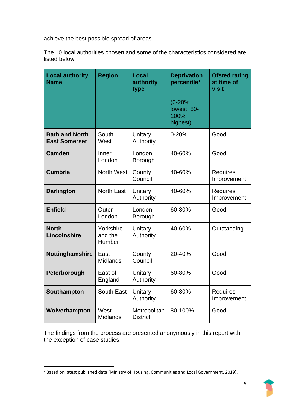achieve the best possible spread of areas.

The 10 local authorities chosen and some of the characteristics considered are listed below:

| <b>Local authority</b><br><b>Name</b>         | <b>Region</b>                  | Local<br>authority<br>type      | <b>Deprivation</b><br>percentile <sup>1</sup> | <b>Ofsted rating</b><br>at time of<br>visit |
|-----------------------------------------------|--------------------------------|---------------------------------|-----------------------------------------------|---------------------------------------------|
|                                               |                                |                                 | $(0-20%$<br>lowest, 80-<br>100%<br>highest)   |                                             |
| <b>Bath and North</b><br><b>East Somerset</b> | South<br>West                  | Unitary<br>Authority            | $0 - 20%$                                     | Good                                        |
| <b>Camden</b>                                 | Inner<br>London                | London<br>Borough               | 40-60%                                        | Good                                        |
| <b>Cumbria</b>                                | <b>North West</b>              | County<br>Council               | 40-60%                                        | <b>Requires</b><br>Improvement              |
| <b>Darlington</b>                             | <b>North East</b>              | Unitary<br>Authority            | 40-60%                                        | <b>Requires</b><br>Improvement              |
| <b>Enfield</b>                                | Outer<br>London                | London<br>Borough               | 60-80%                                        | Good                                        |
| <b>North</b><br>Lincolnshire                  | Yorkshire<br>and the<br>Humber | Unitary<br>Authority            | 40-60%                                        | Outstanding                                 |
| Nottinghamshire                               | East<br><b>Midlands</b>        | County<br>Council               | 20-40%                                        | Good                                        |
| Peterborough                                  | East of<br>England             | Unitary<br>Authority            | 60-80%                                        | Good                                        |
| Southampton                                   | South East                     | Unitary<br>Authority            | 60-80%                                        | <b>Requires</b><br>Improvement              |
| Wolverhampton                                 | West<br><b>Midlands</b>        | Metropolitan<br><b>District</b> | 80-100%                                       | Good                                        |

The findings from the process are presented anonymously in this report with the exception of case studies.

<sup>&</sup>lt;sup>1</sup> Based on latest published data (Ministry of Housing, Communities and Local Government, 2019).

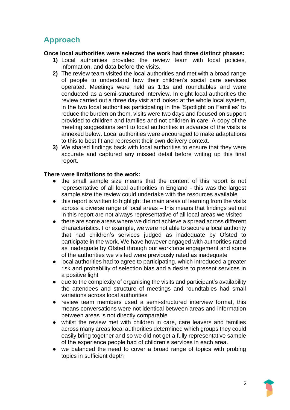# <span id="page-4-0"></span>**Approach**

#### **Once local authorities were selected the work had three distinct phases:**

- **1)** Local authorities provided the review team with local policies, information, and data before the visits.
- **2)** The review team visited the local authorities and met with a broad range of people to understand how their children's social care services operated. Meetings were held as 1:1s and roundtables and were conducted as a semi-structured interview. In eight local authorities the review carried out a three day visit and looked at the whole local system, in the two local authorities participating in the 'Spotlight on Families' to reduce the burden on them, visits were two days and focused on support provided to children and families and not children in care. A copy of the meeting suggestions sent to local authorities in advance of the visits is annexed below. Local authorities were encouraged to make adaptations to this to best fit and represent their own delivery context.
- **3)** We shared findings back with local authorities to ensure that they were accurate and captured any missed detail before writing up this final report.

#### **There were limitations to the work:**

- the small sample size means that the content of this report is not representative of all local authorities in England - this was the largest sample size the review could undertake with the resources available
- this report is written to highlight the main areas of learning from the visits across a diverse range of local areas – this means that findings set out in this report are not always representative of all local areas we visited
- there are some areas where we did not achieve a spread across different characteristics. For example, we were not able to secure a local authority that had children's services judged as inadequate by Ofsted to participate in the work. We have however engaged with authorities rated as inadequate by Ofsted through our workforce engagement and some of the authorities we visited were previously rated as inadequate
- local authorities had to agree to participating, which introduced a greater risk and probability of selection bias and a desire to present services in a positive light
- due to the complexity of organising the visits and participant's availability the attendees and structure of meetings and roundtables had small variations across local authorities
- review team members used a semi-structured interview format, this means conversations were not identical between areas and information between areas is not directly comparable
- whilst the review met with children in care, care leavers and families across many areas local authorities determined which groups they could easily bring together and so we did not get a fully representative sample of the experience people had of children's services in each area.
- we balanced the need to cover a broad range of topics with probing topics in sufficient depth

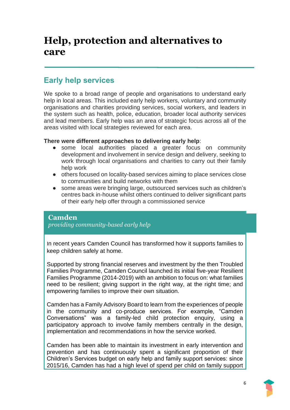# <span id="page-5-0"></span>**Help, protection and alternatives to care**

### <span id="page-5-1"></span>**Early help services**

We spoke to a broad range of people and organisations to understand early help in local areas. This included early help workers, voluntary and community organisations and charities providing services, social workers, and leaders in the system such as health, police, education, broader local authority services and lead members. Early help was an area of strategic focus across all of the areas visited with local strategies reviewed for each area.

#### **There were different approaches to delivering early help**:

- some local authorities placed a greater focus on community development and involvement in service design and delivery, seeking to work through local organisations and charities to carry out their family help work
- others focused on locality-based services aiming to place services close to communities and build networks with them
- some areas were bringing large, outsourced services such as children's centres back in-house whilst others continued to deliver significant parts of their early help offer through a commissioned service

### **Camden**

*providing community-based early help*

In recent years Camden Council has transformed how it supports families to keep children safely at home.

Supported by strong financial reserves and investment by the then Troubled Families Programme, Camden Council launched its initial five-year Resilient Families Programme (2014-2019) with an ambition to focus on: what families need to be resilient; giving support in the right way, at the right time; and empowering families to improve their own situation.

Camden has a Family Advisory Board to learn from the experiences of people in the community and co-produce services. For example, "Camden Conversations" was a family-led child protection enquiry, using a participatory approach to involve family members centrally in the design, implementation and recommendations in how the service worked.

Camden has been able to maintain its investment in early intervention and prevention and has continuously spent a significant proportion of their Children's Services budget on early help and family support services: since 2015/16, Camden has had a high level of spend per child on family support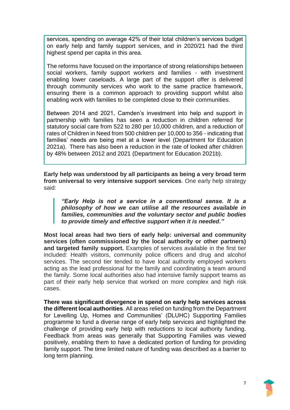services, spending on average 42% of their total children's services budget on early help and family support services, and in 2020/21 had the third highest spend per capita in this area.

The reforms have focused on the importance of strong relationships between social workers, family support workers and families - with investment enabling lower caseloads. A large part of the support offer is delivered through community services who work to the same practice framework, ensuring there is a common approach to providing support whilst also enabling work with families to be completed close to their communities.

Between 2014 and 2021, Camden's investment into help and support in partnership with families has seen a reduction in children referred for statutory social care from 522 to 280 per 10,000 children, and a reduction of rates of Children in Need from 500 children per 10,000 to 356 - indicating that families' needs are being met at a lower level (Department for Education 2021a). There has also been a reduction in the rate of looked after children by 48% between 2012 and 2021 (Department for Education 2021b).

**Early help was understood by all participants as being a very broad term from universal to very intensive support services**. One early help strategy said:

*"Early Help is not a service in a conventional sense. It is a philosophy of how we can utilise all the resources available in families, communities and the voluntary sector and public bodies to provide timely and effective support when it is needed."*

**Most local areas had two tiers of early help: universal and community services (often commissioned by the local authority or other partners) and targeted family support.** Examples of services available in the first tier included: Health visitors, community police officers and drug and alcohol services. The second tier tended to have local authority employed workers acting as the lead professional for the family and coordinating a team around the family. Some local authorities also had intensive family support teams as part of their early help service that worked on more complex and high risk cases.

**There was significant divergence in spend on early help services across the different local authorities**. All areas relied on funding from the Department for Levelling Up, Homes and Communities' (DLUHC) Supporting Families programme to fund a diverse range of early help services and highlighted the challenge of providing early help with reductions to local authority funding. Feedback from areas was generally that Supporting Families was viewed positively, enabling them to have a dedicated portion of funding for providing family support. The time limited nature of funding was described as a barrier to long term planning.

7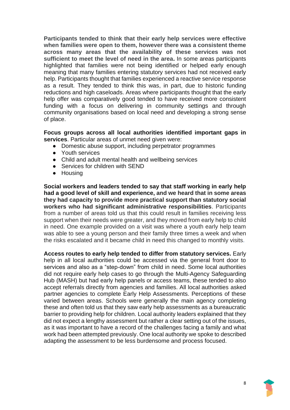**Participants tended to think that their early help services were effective when families were open to them, however there was a consistent theme across many areas that the availability of these services was not sufficient to meet the level of need in the area.** In some areas participants highlighted that families were not being identified or helped early enough meaning that many families entering statutory services had not received early help. Participants thought that families experienced a reactive service response as a result. They tended to think this was, in part, due to historic funding reductions and high caseloads. Areas where participants thought that the early help offer was comparatively good tended to have received more consistent funding with a focus on delivering in community settings and through community organisations based on local need and developing a strong sense of place.

#### **Focus groups across all local authorities identified important gaps in services**. Particular areas of unmet need given were:

- Domestic abuse support, including perpetrator programmes
- Youth services
- Child and adult mental health and wellbeing services
- Services for children with SEND
- Housing

**Social workers and leaders tended to say that staff working in early help had a good level of skill and experience, and we heard that in some areas they had capacity to provide more practical support than statutory social workers who had significant administrative responsibilities**. Participants from a number of areas told us that this could result in families receiving less support when their needs were greater, and they moved from early help to child in need. One example provided on a visit was where a youth early help team was able to see a young person and their family three times a week and when the risks escalated and it became child in need this changed to monthly visits.

**Access routes to early help tended to differ from statutory services.** Early help in all local authorities could be accessed via the general front door to services and also as a "step-down" from child in need. Some local authorities did not require early help cases to go through the Multi-Agency Safeguarding Hub (MASH) but had early help panels or access teams, these tended to also accept referrals directly from agencies and families. All local authorities asked partner agencies to complete Early Help Assessments. Perceptions of these varied between areas. Schools were generally the main agency completing these and often told us that they saw early help assessments as a bureaucratic barrier to providing help for children. Local authority leaders explained that they did not expect a lengthy assessment but rather a clear setting out of the issues, as it was important to have a record of the challenges facing a family and what work had been attempted previously. One local authority we spoke to described adapting the assessment to be less burdensome and process focused.

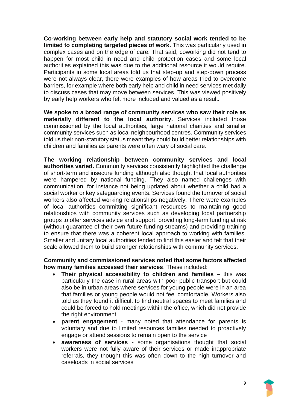**Co-working between early help and statutory social work tended to be limited to completing targeted pieces of work.** This was particularly used in complex cases and on the edge of care. That said, coworking did not tend to happen for most child in need and child protection cases and some local authorities explained this was due to the additional resource it would require. Participants in some local areas told us that step-up and step-down process were not always clear, there were examples of how areas tried to overcome barriers, for example where both early help and child in need services met daily to discuss cases that may move between services. This was viewed positively by early help workers who felt more included and valued as a result.

**We spoke to a broad range of community services who saw their role as materially different to the local authority.** Services included those commissioned by the local authorities, large national charities and smaller community services such as local neighbourhood centres. Community services told us their non-statutory status meant they could build better relationships with children and families as parents were often wary of social care.

**The working relationship between community services and local authorities varied.** Community services consistently highlighted the challenge of short-term and insecure funding although also thought that local authorities were hampered by national funding. They also named challenges with communication, for instance not being updated about whether a child had a social worker or key safeguarding events. Services found the turnover of social workers also affected working relationships negatively. There were examples of local authorities committing significant resources to maintaining good relationships with community services such as developing local partnership groups to offer services advice and support, providing long-term funding at risk (without guarantee of their own future funding streams) and providing training to ensure that there was a coherent local approach to working with families. Smaller and unitary local authorities tended to find this easier and felt that their scale allowed them to build stronger relationships with community services.

#### **Community and commissioned services noted that some factors affected how many families accessed their services**. These included:

- **Their physical accessibility to children and families** this was particularly the case in rural areas with poor public transport but could also be in urban areas where services for young people were in an area that families or young people would not feel comfortable. Workers also told us they found it difficult to find neutral spaces to meet families and could be forced to hold meetings within the office, which did not provide the right environment
- **parent engagement**  many noted that attendance for parents is voluntary and due to limited resources families needed to proactively engage or attend sessions to remain open to the service
- **awareness of services**  some organisations thought that social workers were not fully aware of their services or made inappropriate referrals, they thought this was often down to the high turnover and caseloads in social services

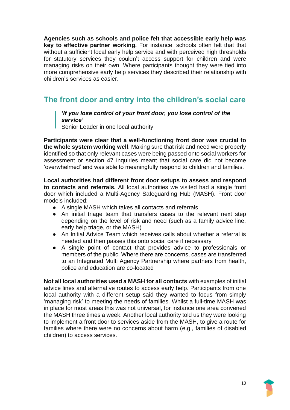**Agencies such as schools and police felt that accessible early help was key to effective partner working.** For instance, schools often felt that that without a sufficient local early help service and with perceived high thresholds for statutory services they couldn't access support for children and were managing risks on their own. Where participants thought they were tied into more comprehensive early help services they described their relationship with children's services as easier.

# <span id="page-9-0"></span>**The front door and entry into the children's social care**

#### *'If you lose control of your front door, you lose control of the service'*

Senior Leader in one local authority

**Participants were clear that a well-functioning front door was crucial to the whole system working well**. Making sure that risk and need were properly identified so that only relevant cases were being passed onto social workers for assessment or section 47 inquiries meant that social care did not become 'overwhelmed' and was able to meaningfully respond to children and families.

**Local authorities had different front door setups to assess and respond to contacts and referrals.** All local authorities we visited had a single front door which included a Multi-Agency Safeguarding Hub (MASH). Front door models included:

- A single MASH which takes all contacts and referrals
- An initial triage team that transfers cases to the relevant next step depending on the level of risk and need (such as a family advice line, early help triage, or the MASH)
- An Initial Advice Team which receives calls about whether a referral is needed and then passes this onto social care if necessary
- A single point of contact that provides advice to professionals or members of the public. Where there are concerns, cases are transferred to an Integrated Multi Agency Partnership where partners from health, police and education are co-located

**Not all local authorities used a MASH for all contacts** with examples of initial advice lines and alternative routes to access early help. Participants from one local authority with a different setup said they wanted to focus from simply 'managing risk' to meeting the needs of families. Whilst a full-time MASH was in place for most areas this was not universal, for instance one area convened the MASH three times a week. Another local authority told us they were looking to implement a front door to services aside from the MASH, to give a route for families where there were no concerns about harm (e.g., families of disabled children) to access services.

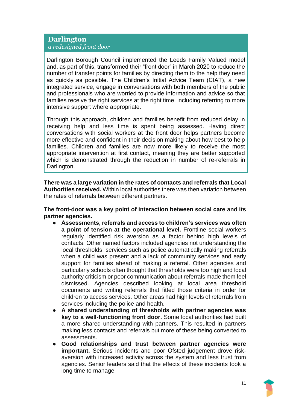#### **Darlington** *a redesigned front door*

Darlington Borough Council implemented the Leeds Family Valued model and, as part of this, transformed their "front door" in March 2020 to reduce the number of transfer points for families by directing them to the help they need as quickly as possible. The Children's Initial Advice Team (CIAT), a new integrated service, engage in conversations with both members of the public and professionals who are worried to provide information and advice so that families receive the right services at the right time, including referring to more intensive support where appropriate.

Through this approach, children and families benefit from reduced delay in receiving help and less time is spent being assessed. Having direct conversations with social workers at the front door helps partners become more effective and confident in their decision making about how best to help families. Children and families are now more likely to receive the most appropriate intervention at first contact, meaning they are better supported which is demonstrated through the reduction in number of re-referrals in Darlington.

**There was a large variation in the rates of contacts and referrals that Local Authorities received.** Within local authorities there was then variation between the rates of referrals between different partners.

**The front-door was a key point of interaction between social care and its partner agencies.** 

- **Assessments, referrals and access to children's services was often a point of tension at the operational level.** Frontline social workers regularly identified risk aversion as a factor behind high levels of contacts. Other named factors included agencies not understanding the local thresholds, services such as police automatically making referrals when a child was present and a lack of community services and early support for families ahead of making a referral. Other agencies and particularly schools often thought that thresholds were too high and local authority criticism or poor communication about referrals made them feel dismissed. Agencies described looking at local area threshold documents and writing referrals that fitted those criteria in order for children to access services. Other areas had high levels of referrals from services including the police and health.
- **A shared understanding of thresholds with partner agencies was key to a well-functioning front door.** Some local authorities had built a more shared understanding with partners. This resulted in partners making less contacts and referrals but more of these being converted to assessments.
- **Good relationships and trust between partner agencies were important.** Serious incidents and poor Ofsted judgement drove riskaversion with increased activity across the system and less trust from agencies. Senior leaders said that the effects of these incidents took a long time to manage.

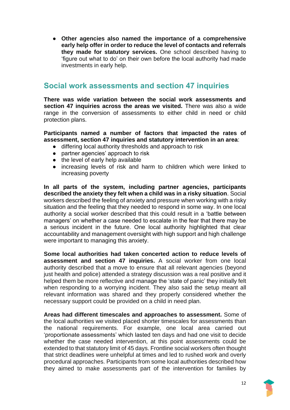● **Other agencies also named the importance of a comprehensive early help offer in order to reduce the level of contacts and referrals they made for statutory services.** One school described having to 'figure out what to do' on their own before the local authority had made investments in early help.

### <span id="page-11-0"></span>**Social work assessments and section 47 inquiries**

**There was wide variation between the social work assessments and section 47 inquiries across the areas we visited.** There was also a wide range in the conversion of assessments to either child in need or child protection plans.

**Participants named a number of factors that impacted the rates of assessment, section 47 inquiries and statutory intervention in an area**:

- differing local authority thresholds and approach to risk
- partner agencies' approach to risk
- the level of early help available
- increasing levels of risk and harm to children which were linked to increasing poverty

**In all parts of the system, including partner agencies, participants described the anxiety they felt when a child was in a risky situation**. Social workers described the feeling of anxiety and pressure when working with a risky situation and the feeling that they needed to respond in some way. In one local authority a social worker described that this could result in a 'battle between managers' on whether a case needed to escalate in the fear that there may be a serious incident in the future. One local authority highlighted that clear accountability and management oversight with high support and high challenge were important to managing this anxiety.

**Some local authorities had taken concerted action to reduce levels of assessment and section 47 inquiries.** A social worker from one local authority described that a move to ensure that all relevant agencies (beyond just health and police) attended a strategy discussion was a real positive and it helped them be more reflective and manage the 'state of panic' they initially felt when responding to a worrying incident. They also said the setup meant all relevant information was shared and they properly considered whether the necessary support could be provided on a child in need plan.

**Areas had different timescales and approaches to assessment.** Some of the local authorities we visited placed shorter timescales for assessments than the national requirements. For example, one local area carried out 'proportionate assessments' which lasted ten days and had one visit to decide whether the case needed intervention, at this point assessments could be extended to that statutory limit of 45 days. Frontline social workers often thought that strict deadlines were unhelpful at times and led to rushed work and overly procedural approaches. Participants from some local authorities described how they aimed to make assessments part of the intervention for families by

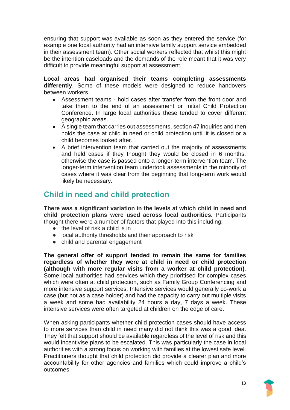ensuring that support was available as soon as they entered the service (for example one local authority had an intensive family support service embedded in their assessment team). Other social workers reflected that whilst this might be the intention caseloads and the demands of the role meant that it was very difficult to provide meaningful support at assessment.

**Local areas had organised their teams completing assessments differently**. Some of these models were designed to reduce handovers between workers.

- Assessment teams hold cases after transfer from the front door and take them to the end of an assessment or Initial Child Protection Conference. In large local authorities these tended to cover different geographic areas.
- A single team that carries out assessments, section 47 inquiries and then holds the case at child in need or child protection until it is closed or a child becomes looked after.
- A brief intervention team that carried out the majority of assessments and held cases if they thought they would be closed in 6 months, otherwise the case is passed onto a longer-term intervention team. The longer-term intervention team undertook assessments in the minority of cases where it was clear from the beginning that long-term work would likely be necessary.

# <span id="page-12-0"></span>**Child in need and child protection**

**There was a significant variation in the levels at which child in need and child protection plans were used across local authorities.** Participants thought there were a number of factors that played into this including:

- $\bullet$  the level of risk a child is in
- local authority thresholds and their approach to risk
- child and parental engagement

**The general offer of support tended to remain the same for families regardless of whether they were at child in need or child protection (although with more regular visits from a worker at child protection)**. Some local authorities had services which they prioritised for complex cases which were often at child protection, such as Family Group Conferencing and more intensive support services. Intensive services would generally co-work a case (but not as a case holder) and had the capacity to carry out multiple visits a week and some had availability 24 hours a day, 7 days a week. These intensive services were often targeted at children on the edge of care.

When asking participants whether child protection cases should have access to more services than child in need many did not think this was a good idea. They felt that support should be available regardless of the level of risk and this would incentivise plans to be escalated. This was particularly the case in local authorities with a strong focus on working with families at the lowest safe level. Practitioners thought that child protection did provide a clearer plan and more accountability for other agencies and families which could improve a child's outcomes.

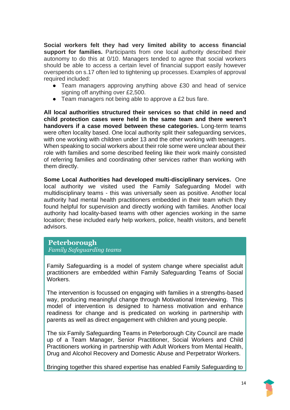**Social workers felt they had very limited ability to access financial support for families.** Participants from one local authority described their autonomy to do this at 0/10. Managers tended to agree that social workers should be able to access a certain level of financial support easily however overspends on s.17 often led to tightening up processes. Examples of approval required included:

- Team managers approving anything above £30 and head of service signing off anything over £2,500.
- Team managers not being able to approve a £2 bus fare.

**All local authorities structured their services so that child in need and child protection cases were held in the same team and there weren't handovers if a case moved between these categories.** Long-term teams were often locality based. One local authority split their safeguarding services, with one working with children under 13 and the other working with teenagers. When speaking to social workers about their role some were unclear about their role with families and some described feeling like their work mainly consisted of referring families and coordinating other services rather than working with them directly.

**Some Local Authorities had developed multi-disciplinary services.** One local authority we visited used the Family Safeguarding Model with multidisciplinary teams - this was universally seen as positive. Another local authority had mental health practitioners embedded in their team which they found helpful for supervision and directly working with families. Another local authority had locality-based teams with other agencies working in the same location; these included early help workers, police, health visitors, and benefit advisors.

#### **Peterborough** *Family Safeguarding teams*

Family Safeguarding is a model of system change where specialist adult practitioners are embedded within Family Safeguarding Teams of Social Workers.

The intervention is focussed on engaging with families in a strengths-based way, producing meaningful change through Motivational Interviewing. This model of intervention is designed to harness motivation and enhance readiness for change and is predicated on working in partnership with parents as well as direct engagement with children and young people.

The six Family Safeguarding Teams in Peterborough City Council are made up of a Team Manager, Senior Practitioner, Social Workers and Child Practitioners working in partnership with Adult Workers from Mental Health, Drug and Alcohol Recovery and Domestic Abuse and Perpetrator Workers.

Bringing together this shared expertise has enabled Family Safeguarding to

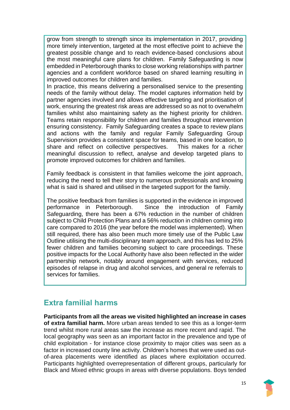grow from strength to strength since its implementation in 2017, providing more timely intervention, targeted at the most effective point to achieve the greatest possible change and to reach evidence-based conclusions about the most meaningful care plans for children. Family Safeguarding is now embedded in Peterborough thanks to close working relationships with partner agencies and a confident workforce based on shared learning resulting in improved outcomes for children and families.

In practice, this means delivering a personalised service to the presenting needs of the family without delay. The model captures information held by partner agencies involved and allows effective targeting and prioritisation of work, ensuring the greatest risk areas are addressed so as not to overwhelm families whilst also maintaining safety as the highest priority for children. Teams retain responsibility for children and families throughout intervention ensuring consistency. Family Safeguarding creates a space to review plans and actions with the family and regular Family Safeguarding Group Supervision provides a consistent space for teams, based in one location, to share and reflect on collective perspectives. This makes for a richer meaningful discussion to reflect, analyse and develop targeted plans to promote improved outcomes for children and families.

Family feedback is consistent in that families welcome the joint approach, reducing the need to tell their story to numerous professionals and knowing what is said is shared and utilised in the targeted support for the family.

The positive feedback from families is supported in the evidence in improved performance in Peterborough. Since the introduction of Family Safeguarding, there has been a 67% reduction in the number of children subject to Child Protection Plans and a 56% reduction in children coming into care compared to 2016 (the year before the model was implemented). When still required, there has also been much more timely use of the Public Law Outline utilising the multi-disciplinary team approach, and this has led to 25% fewer children and families becoming subject to care proceedings. These positive impacts for the Local Authority have also been reflected in the wider partnership network, notably around engagement with services, reduced episodes of relapse in drug and alcohol services, and general re referrals to services for families.

# <span id="page-14-0"></span>**Extra familial harms**

**Participants from all the areas we visited highlighted an increase in cases of extra familial harm.** More urban areas tended to see this as a longer-term trend whilst more rural areas saw the increase as more recent and rapid. The local geography was seen as an important factor in the prevalence and type of child exploitation - for instance close proximity to major cities was seen as a factor in increased county line activity. Children's homes that were used as outof-area placements were identified as places where exploitation occurred. Participants highlighted overrepresentation of different groups, particularly for Black and Mixed ethnic groups in areas with diverse populations. Boys tended

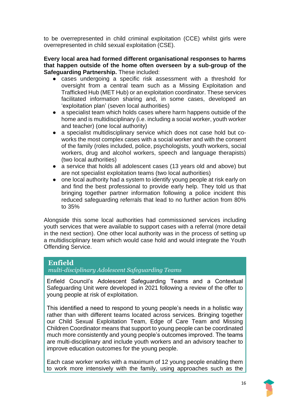to be overrepresented in child criminal exploitation (CCE) whilst girls were overrepresented in child sexual exploitation (CSE).

#### **Every local area had formed different organisational responses to harms that happen outside of the home often overseen by a sub-group of the Safeguarding Partnership.** These included:

- cases undergoing a specific risk assessment with a threshold for oversight from a central team such as a Missing Exploitation and Trafficked Hub (MET Hub) or an exploitation coordinator. These services facilitated information sharing and, in some cases, developed an 'exploitation plan' (seven local authorities)
- a specialist team which holds cases where harm happens outside of the home and is multidisciplinary (i.e. including a social worker, youth worker and teacher) (one local authority)
- a specialist multidisciplinary service which does not case hold but coworks the most complex cases with a social worker and with the consent of the family (roles included, police, psychologists, youth workers, social workers, drug and alcohol workers, speech and language therapists) (two local authorities)
- a service that holds all adolescent cases (13 years old and above) but are not specialist exploitation teams (two local authorities)
- one local authority had a system to identify young people at risk early on and find the best professional to provide early help. They told us that bringing together partner information following a police incident this reduced safeguarding referrals that lead to no further action from 80% to 35%

Alongside this some local authorities had commissioned services including youth services that were available to support cases with a referral (more detail in the next section). One other local authority was in the process of setting up a multidisciplinary team which would case hold and would integrate the Youth Offending Service.

### **Enfield**

#### *multi-disciplinary Adolescent Safeguarding Teams*

Enfield Council's Adolescent Safeguarding Teams and a Contextual Safeguarding Unit were developed in 2021 following a review of the offer to young people at risk of exploitation.

This identified a need to respond to young people's needs in a holistic way rather than with different teams located across services. Bringing together our Child Sexual Exploitation Team, Edge of Care Team and Missing Children Coordinator means that support to young people can be coordinated much more consistently and young people's outcomes improved. The teams are multi-disciplinary and include youth workers and an advisory teacher to improve education outcomes for the young people.

Each case worker works with a maximum of 12 young people enabling them to work more intensively with the family, using approaches such as the

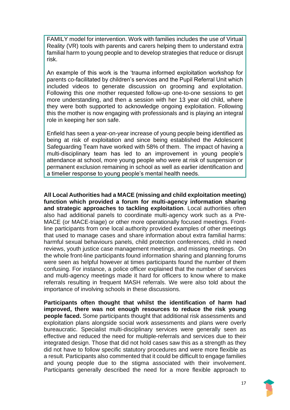FAMILY model for intervention. Work with families includes the use of Virtual Reality (VR) tools with parents and carers helping them to understand extra familial harm to young people and to develop strategies that reduce or disrupt risk.

An example of this work is the 'trauma informed exploitation workshop for parents co-facilitated by children's services and the Pupil Referral Unit which included videos to generate discussion on grooming and exploitation. Following this one mother requested follow-up one-to-one sessions to get more understanding, and then a session with her 13 year old child, where they were both supported to acknowledge ongoing exploitation. Following this the mother is now engaging with professionals and is playing an integral role in keeping her son safe.

Enfield has seen a year-on-year increase of young people being identified as being at risk of exploitation and since being established the Adolescent Safeguarding Team have worked with 58% of them. The impact of having a multi-disciplinary team has led to an improvement in young people's attendance at school, more young people who were at risk of suspension or permanent exclusion remaining in school as well as earlier identification and a timelier response to young people's mental health needs.

**All Local Authorities had a MACE (missing and child exploitation meeting) function which provided a forum for multi-agency information sharing and strategic approaches to tackling exploitation**. Local authorities often also had additional panels to coordinate multi-agency work such as a Pre-MACE (or MACE-triage) or other more operationally focused meetings. Frontline participants from one local authority provided examples of other meetings that used to manage cases and share information about extra familial harms: harmful sexual behaviours panels, child protection conferences, child in need reviews, youth justice case management meetings, and missing meetings. On the whole front-line participants found information sharing and planning forums were seen as helpful however at times participants found the number of them confusing. For instance, a police officer explained that the number of services and multi-agency meetings made it hard for officers to know where to make referrals resulting in frequent MASH referrals. We were also told about the importance of involving schools in these discussions.

**Participants often thought that whilst the identification of harm had improved, there was not enough resources to reduce the risk young people faced.** Some participants thought that additional risk assessments and exploitation plans alongside social work assessments and plans were overly bureaucratic. Specialist multi-disciplinary services were generally seen as effective and reduced the need for multiple-referrals and services due to their integrated design. Those that did not hold cases saw this as a strength as they did not have to follow specific statutory procedures and were more flexible as a result. Participants also commented that it could be difficult to engage families and young people due to the stigma associated with their involvement. Participants generally described the need for a more flexible approach to

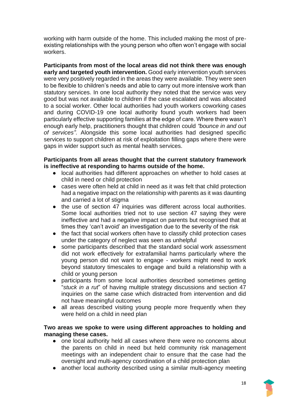working with harm outside of the home. This included making the most of preexisting relationships with the young person who often won't engage with social workers.

**Participants from most of the local areas did not think there was enough early and targeted youth intervention.** Good early intervention youth services were very positively regarded in the areas they were available. They were seen to be flexible to children's needs and able to carry out more intensive work than statutory services. In one local authority they noted that the service was very good but was not available to children if the case escalated and was allocated to a social worker. Other local authorities had youth workers coworking cases and during COVID-19 one local authority found youth workers had been particularly effective supporting families at the edge of care. Where there wasn't enough early help, practitioners thought that children could *"bounce in and out of services"*. Alongside this some local authorities had designed specific services to support children at risk of exploitation filling gaps where there were gaps in wider support such as mental health services.

#### **Participants from all areas thought that the current statutory framework is ineffective at responding to harms outside of the home.**

- local authorities had different approaches on whether to hold cases at child in need or child protection
- cases were often held at child in need as it was felt that child protection had a negative impact on the relationship with parents as it was daunting and carried a lot of stigma
- the use of section 47 inquiries was different across local authorities. Some local authorities tried not to use section 47 saying they were ineffective and had a negative impact on parents but recognised that at times they 'can't avoid' an investigation due to the severity of the risk
- the fact that social workers often have to classify child protection cases under the category of neglect was seen as unhelpful
- some participants described that the standard social work assessment did not work effectively for extrafamilial harms particularly where the young person did not want to engage - workers might need to work beyond statutory timescales to engage and build a relationship with a child or young person
- participants from some local authorities described sometimes getting "*stuck in a rut*" of having multiple strategy discussions and section 47 inquiries on the same case which distracted from intervention and did not have meaningful outcomes
- all areas described visiting young people more frequently when they were held on a child in need plan

#### **Two areas we spoke to were using different approaches to holding and managing these cases.**

- one local authority held all cases where there were no concerns about the parents on child in need but held community risk management meetings with an independent chair to ensure that the case had the oversight and multi-agency coordination of a child protection plan
- another local authority described using a similar multi-agency meeting

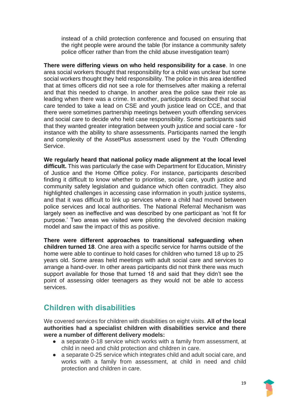instead of a child protection conference and focused on ensuring that the right people were around the table (for instance a community safety police officer rather than from the child abuse investigation team)

**There were differing views on who held responsibility for a case**. In one area social workers thought that responsibility for a child was unclear but some social workers thought they held responsibility. The police in this area identified that at times officers did not see a role for themselves after making a referral and that this needed to change. In another area the police saw their role as leading when there was a crime. In another, participants described that social care tended to take a lead on CSE and youth justice lead on CCE, and that there were sometimes partnership meetings between youth offending services and social care to decide who held case responsibility. Some participants said that they wanted greater integration between youth justice and social care - for instance with the ability to share assessments. Participants named the length and complexity of the AssetPlus assessment used by the Youth Offending Service.

**We regularly heard that national policy made alignment at the local level difficult.** This was particularly the case with Department for Education, Ministry of Justice and the Home Office policy. For instance, participants described finding it difficult to know whether to prioritise, social care, youth justice and community safety legislation and guidance which often contradict. They also highlighted challenges in accessing case information in youth justice systems, and that it was difficult to link up services where a child had moved between police services and local authorities. The National Referral Mechanism was largely seen as ineffective and was described by one participant as 'not fit for purpose.' Two areas we visited were piloting the devolved decision making model and saw the impact of this as positive.

**There were different approaches to transitional safeguarding when children turned 18**. One area with a specific service for harms outside of the home were able to continue to hold cases for children who turned 18 up to 25 years old. Some areas held meetings with adult social care and services to arrange a hand-over. In other areas participants did not think there was much support available for those that turned 18 and said that they didn't see the point of assessing older teenagers as they would not be able to access services.

### <span id="page-18-0"></span>**Children with disabilities**

We covered services for children with disabilities on eight visits. **All of the local authorities had a specialist children with disabilities service and there were a number of different delivery models:** 

- a separate 0-18 service which works with a family from assessment, at child in need and child protection and children in care.
- a separate 0-25 service which integrates child and adult social care, and works with a family from assessment, at child in need and child protection and children in care.

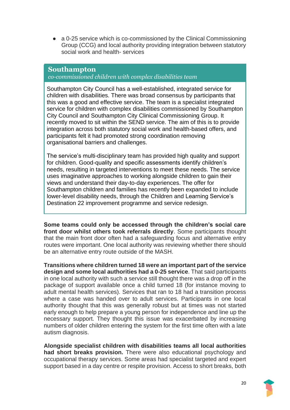● a 0-25 service which is co-commissioned by the Clinical Commissioning Group (CCG) and local authority providing integration between statutory social work and health- services

#### **Southampton**

*co-commissioned children with complex disabilities team*

Southampton City Council has a well-established, integrated service for children with disabilities. There was broad consensus by participants that this was a good and effective service. The team is a specialist integrated service for children with complex disabilities commissioned by Southampton City Council and Southampton City Clinical Commissioning Group. It recently moved to sit within the SEND service. The aim of this is to provide integration across both statutory social work and health-based offers, and participants felt it had promoted strong coordination removing organisational barriers and challenges.

The service's multi-disciplinary team has provided high quality and support for children. Good-quality and specific assessments identify children's needs, resulting in targeted interventions to meet these needs. The service uses imaginative approaches to working alongside children to gain their views and understand their day-to-day experiences. The offer for Southampton children and families has recently been expanded to include lower-level disability needs, through the Children and Learning Service's Destination 22 improvement programme and service redesign.

**Some teams could only be accessed through the children's social care front door whilst others took referrals directly**. Some participants thought that the main front door often had a safeguarding focus and alternative entry routes were important. One local authority was reviewing whether there should be an alternative entry route outside of the MASH.

**Transitions where children turned 18 were an important part of the service design and some local authorities had a 0-25 service**. That said participants in one local authority with such a service still thought there was a drop off in the package of support available once a child turned 18 (for instance moving to adult mental health services). Services that ran to 18 had a transition process where a case was handed over to adult services. Participants in one local authority thought that this was generally robust but at times was not started early enough to help prepare a young person for independence and line up the necessary support. They thought this issue was exacerbated by increasing numbers of older children entering the system for the first time often with a late autism diagnosis.

**Alongside specialist children with disabilities teams all local authorities had short breaks provision.** There were also educational psychology and occupational therapy services. Some areas had specialist targeted and expert support based in a day centre or respite provision. Access to short breaks, both

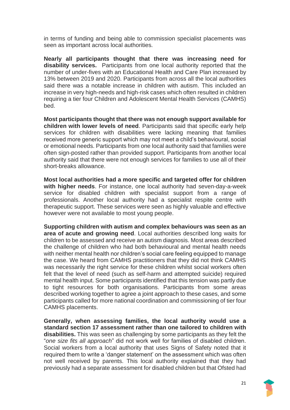in terms of funding and being able to commission specialist placements was seen as important across local authorities.

**Nearly all participants thought that there was increasing need for disability services.** Participants from one local authority reported that the number of under-fives with an Educational Health and Care Plan increased by 13% between 2019 and 2020. Participants from across all the local authorities said there was a notable increase in children with autism. This included an increase in very high-needs and high-risk cases which often resulted in children requiring a tier four Children and Adolescent Mental Health Services (CAMHS) bed.

**Most participants thought that there was not enough support available for children with lower levels of need**. Participants said that specific early help services for children with disabilities were lacking meaning that families received more generic support which may not meet a child's behavioural, social or emotional needs. Participants from one local authority said that families were often sign-posted rather than provided support. Participants from another local authority said that there were not enough services for families to use all of their short-breaks allowance.

**Most local authorities had a more specific and targeted offer for children with higher needs**. For instance, one local authority had seven-day-a-week service for disabled children with specialist support from a range of professionals. Another local authority had a specialist respite centre with therapeutic support. These services were seen as highly valuable and effective however were not available to most young people.

**Supporting children with autism and complex behaviours was seen as an area of acute and growing need**. Local authorities described long waits for children to be assessed and receive an autism diagnosis. Most areas described the challenge of children who had both behavioural and mental health needs with neither mental health nor children's social care feeling equipped to manage the case. We heard from CAMHS practitioners that they did not think CAMHS was necessarily the right service for these children whilst social workers often felt that the level of need (such as self-harm and attempted suicide) required mental health input. Some participants identified that this tension was partly due to tight resources for both organisations. Participants from some areas described working together to agree a joint approach to these cases, and some participants called for more national coordination and commissioning of tier four CAMHS placements.

**Generally, when assessing families, the local authority would use a standard section 17 assessment rather than one tailored to children with disabilities.** This was seen as challenging by some participants as they felt the "*one size fits all approach*" did not work well for families of disabled children. Social workers from a local authority that uses Signs of Safety noted that it required them to write a 'danger statement' on the assessment which was often not well received by parents. This local authority explained that they had previously had a separate assessment for disabled children but that Ofsted had

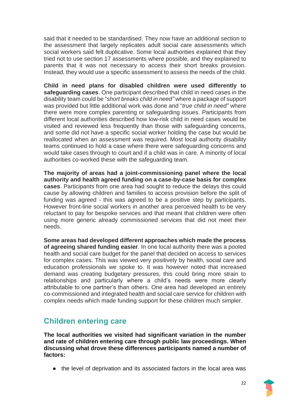said that it needed to be standardised. They now have an additional section to the assessment that largely replicates adult social care assessments which social workers said felt duplicative. Some local authorities explained that they tried not to use section 17 assessments where possible, and they explained to parents that it was not necessary to access their short breaks provision. Instead, they would use a specific assessment to assess the needs of the child.

**Child in need plans for disabled children were used differently to safeguarding cases**. One participant described that child in need cases in the disability team could be "*short breaks child in need"* where a package of support was provided but little additional work was done and "*true child in need"* where there were more complex parenting or safeguarding issues. Participants from different local authorities described how low-risk child in need cases would be visited and reviewed less frequently than those with safeguarding concerns, and some did not have a specific social worker holding the case but would be reallocated when an assessment was required. Most local authority disability teams continued to hold a case where there were safeguarding concerns and would take cases through to court and if a child was in care. A minority of local authorities co-worked these with the safeguarding team.

**The majority of areas had a joint-commissioning panel where the local authority and health agreed funding on a case-by-case basis for complex cases**. Participants from one area had sought to reduce the delays this could cause by allowing children and families to access provision before the split of funding was agreed - this was agreed to be a positive step by participants. However front-line social workers in another area perceived health to be very reluctant to pay for bespoke services and that meant that children were often using more generic already commissioned services that did not meet their needs.

**Some areas had developed different approaches which made the process of agreeing shared funding easier**. In one local authority there was a pooled health and social care budget for the panel that decided on access to services for complex cases. This was viewed very positively by health, social care and education professionals we spoke to. It was however noted that increased demand was creating budgetary pressures, this could bring more strain to relationships and particularly where a child's needs were more clearly attributable to one partner's than others. One area had developed an entirely co-commissioned and integrated health and social care service for children with complex needs which made funding support for these children much simpler.

# <span id="page-21-0"></span>**Children entering care**

**The local authorities we visited had significant variation in the number and rate of children entering care through public law proceedings. When discussing what drove these differences participants named a number of factors:**

• the level of deprivation and its associated factors in the local area was

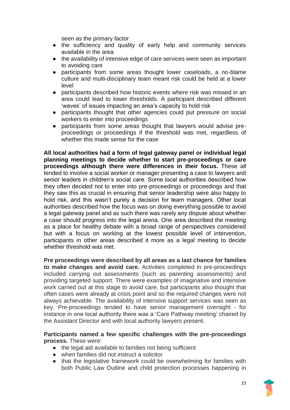seen as the primary factor

- the sufficiency and quality of early help and community services available in the area
- the availability of intensive edge of care services were seen as important to avoiding care
- participants from some areas thought lower caseloads, a no-blame culture and multi-disciplinary team meant risk could be held at a lower level
- participants described how historic events where risk was missed in an area could lead to lower thresholds. A participant described different 'waves' of issues impacting an area's capacity to hold risk
- participants thought that other agencies could put pressure on social workers to enter into proceedings
- participants from some areas thought that lawyers would advise preproceedings or proceedings if the threshold was met, regardless of whether this made sense for the case

**All local authorities had a form of legal gateway panel or individual legal planning meetings to decide whether to start pre-proceedings or care proceedings although there were differences in their focus.** These all tended to involve a social worker or manager presenting a case to lawyers and senior leaders in children's social care. Some local authorities described how they often decided not to enter into pre-proceedings or proceedings and that they saw this as crucial in ensuring that senior leadership were also happy to hold risk, and this wasn't purely a decision for team managers. Other local authorities described how the focus was on doing everything possible to avoid a legal gateway panel and as such there was rarely any dispute about whether a case should progress into the legal arena. One area described the meeting as a place for healthy debate with a broad range of perspectives considered but with a focus on working at the lowest possible level of intervention, participants in other areas described it more as a legal meeting to decide whether threshold was met.

**Pre proceedings were described by all areas as a last chance for families to make changes and avoid care.** Activities completed in pre-proceedings included carrying out assessments (such as parenting assessments) and providing targeted support. There were examples of imaginative and intensive work carried out at this stage to avoid care, but participants also thought that often cases were already at crisis point and so the required changes were not always achievable. The availability of intensive support services was seen as key. Pre-proceedings tended to have senior management oversight - for instance in one local authority there was a 'Care Pathway meeting' chaired by the Assistant Director and with local authority lawyers present.

**Participants named a few specific challenges with the pre-proceedings process.** These were:

- the legal aid available to families not being sufficient
- when families did not instruct a solicitor
- that the legislative framework could be overwhelming for families with both Public Law Outline and child protection processes happening in

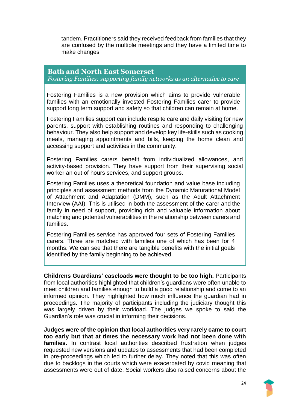tandem. Practitioners said they received feedback from families that they are confused by the multiple meetings and they have a limited time to make changes

#### **Bath and North East Somerset**

*Fostering Families: supporting family networks as an alternative to care*

Fostering Families is a new provision which aims to provide vulnerable families with an emotionally invested Fostering Families carer to provide support long term support and safety so that children can remain at home.

Fostering Families support can include respite care and daily visiting for new parents, support with establishing routines and responding to challenging behaviour. They also help support and develop key life-skills such as cooking meals, managing appointments and bills, keeping the home clean and accessing support and activities in the community.

Fostering Families carers benefit from individualized allowances, and activity-based provision. They have support from their supervising social worker an out of hours services, and support groups.

Fostering Families uses a theoretical foundation and value base including principles and assessment methods from the Dynamic Maturational Model of Attachment and Adaptation (DMM), such as the Adult Attachment Interview (AAI). This is utilised in both the assessment of the carer and the family in need of support, providing rich and valuable information about matching and potential vulnerabilities in the relationship between carers and families.

Fostering Families service has approved four sets of Fostering Families carers. Three are matched with families one of which has been for 4 months. We can see that there are tangible benefits with the initial goals identified by the family beginning to be achieved.

**Childrens Guardians' caseloads were thought to be too high.** Participants from local authorities highlighted that children's guardians were often unable to meet children and families enough to build a good relationship and come to an informed opinion. They highlighted how much influence the guardian had in proceedings. The majority of participants including the judiciary thought this was largely driven by their workload. The judges we spoke to said the Guardian's role was crucial in informing their decisions.

**Judges were of the opinion that local authorities very rarely came to court too early but that at times the necessary work had not been done with**  families. In contrast local authorities described frustration when judges requested new versions and updates to assessments that had been completed in pre-proceedings which led to further delay. They noted that this was often due to backlogs in the courts which were exacerbated by covid meaning that assessments were out of date. Social workers also raised concerns about the

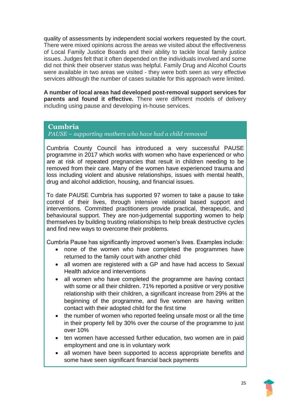quality of assessments by independent social workers requested by the court. There were mixed opinions across the areas we visited about the effectiveness of Local Family Justice Boards and their ability to tackle local family justice issues. Judges felt that it often depended on the individuals involved and some did not think their observer status was helpful. Family Drug and Alcohol Courts were available in two areas we visited - they were both seen as very effective services although the number of cases suitable for this approach were limited.

**A number of local areas had developed post-removal support services for parents and found it effective.** There were different models of delivery including using pause and developing in-house services.

#### **Cumbria**

*PAUSE – supporting mothers who have had a child removed*

Cumbria County Council has introduced a very successful PAUSE programme in 2017 which works with women who have experienced or who are at risk of repeated pregnancies that result in children needing to be removed from their care. Many of the women have experienced trauma and loss including violent and abusive relationships, issues with mental health, drug and alcohol addiction, housing, and financial issues.

To date PAUSE Cumbria has supported 97 women to take a pause to take control of their lives, through intensive relational based support and interventions. Committed practitioners provide practical, therapeutic, and behavioural support. They are non-judgemental supporting women to help themselves by building trusting relationships to help break destructive cycles and find new ways to overcome their problems.

Cumbria Pause has significantly improved women's lives. Examples include:

- none of the women who have completed the programmes have returned to the family court with another child
- all women are registered with a GP and have had access to Sexual Health advice and interventions
- all women who have completed the programme are having contact with some or all their children. 71% reported a positive or very positive relationship with their children, a significant increase from 29% at the beginning of the programme, and five women are having written contact with their adopted child for the first time
- the number of women who reported feeling unsafe most or all the time in their property fell by 30% over the course of the programme to just over 10%
- ten women have accessed further education, two women are in paid employment and one is in voluntary work
- all women have been supported to access appropriate benefits and some have seen significant financial back payments

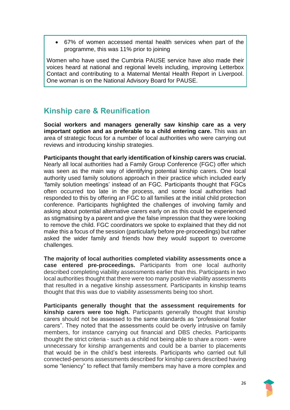• 67% of women accessed mental health services when part of the programme, this was 11% prior to joining

Women who have used the Cumbria PAUSE service have also made their voices heard at national and regional levels including, improving Letterbox Contact and contributing to a Maternal Mental Health Report in Liverpool. One woman is on the National Advisory Board for PAUSE.

# <span id="page-25-0"></span>**Kinship care & Reunification**

**Social workers and managers generally saw kinship care as a very important option and as preferable to a child entering care.** This was an area of strategic focus for a number of local authorities who were carrying out reviews and introducing kinship strategies.

**Participants thought that early identification of kinship carers was crucial.**  Nearly all local authorities had a Family Group Conference (FGC) offer which was seen as the main way of identifying potential kinship carers. One local authority used family solutions approach in their practice which included early 'family solution meetings' instead of an FGC. Participants thought that FGCs often occurred too late in the process, and some local authorities had responded to this by offering an FGC to all families at the initial child protection conference. Participants highlighted the challenges of involving family and asking about potential alternative carers early on as this could be experienced as stigmatising by a parent and give the false impression that they were looking to remove the child. FGC coordinators we spoke to explained that they did not make this a focus of the session (particularly before pre-proceedings) but rather asked the wider family and friends how they would support to overcome challenges.

**The majority of local authorities completed viability assessments once a case entered pre-proceedings.** Participants from one local authority described completing viability assessments earlier than this. Participants in two local authorities thought that there were too many positive viability assessments that resulted in a negative kinship assessment. Participants in kinship teams thought that this was due to viability assessments being too short.

**Participants generally thought that the assessment requirements for kinship carers were too high.** Participants generally thought that kinship carers should not be assessed to the same standards as "professional foster carers". They noted that the assessments could be overly intrusive on family members, for instance carrying out financial and DBS checks. Participants thought the strict criteria - such as a child not being able to share a room - were unnecessary for kinship arrangements and could be a barrier to placements that would be in the child's best interests. Participants who carried out full connected-persons assessments described for kinship carers described having some "leniency" to reflect that family members may have a more complex and

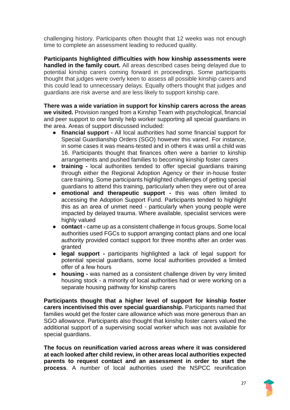challenging history. Participants often thought that 12 weeks was not enough time to complete an assessment leading to reduced quality.

**Participants highlighted difficulties with how kinship assessments were handled in the family court.** All areas described cases being delayed due to potential kinship carers coming forward in proceedings. Some participants thought that judges were overly keen to assess all possible kinship carers and this could lead to unnecessary delays. Equally others thought that judges and guardians are risk averse and are less likely to support kinship care.

**There was a wide variation in support for kinship carers across the areas we visited.** Provision ranged from a Kinship Team with psychological, financial and peer support to one family help worker supporting all special guardians in the area. Areas of support discussed included:

- **financial support -** All local authorities had some financial support for Special Guardianship Orders (SGO) however this varied. For instance, in some cases it was means-tested and in others it was until a child was 16. Participants thought that finances often were a barrier to kinship arrangements and pushed families to becoming kinship foster carers
- **training -** local authorities tended to offer special guardians training through either the Regional Adoption Agency or their in-house foster care training. Some participants highlighted challenges of getting special guardians to attend this training, particularly when they were out of area
- **emotional and therapeutic support -** this was often limited to accessing the Adoption Support Fund. Participants tended to highlight this as an area of unmet need - particularly when young people were impacted by delayed trauma. Where available, specialist services were highly valued
- **contact -** came up as a consistent challenge in focus groups. Some local authorities used FGCs to support arranging contact plans and one local authority provided contact support for three months after an order was granted
- **legal support -** participants highlighted a lack of legal support for potential special guardians, some local authorities provided a limited offer of a few hours
- **housing -** was named as a consistent challenge driven by very limited housing stock - a minority of local authorities had or were working on a separate housing pathway for kinship carers

**Participants thought that a higher level of support for kinship foster carers incentivised this over special guardianship.** Participants named that families would get the foster care allowance which was more generous than an SGO allowance. Participants also thought that kinship foster carers valued the additional support of a supervising social worker which was not available for special guardians.

**The focus on reunification varied across areas where it was considered at each looked after child review, in other areas local authorities expected parents to request contact and an assessment in order to start the process**. A number of local authorities used the NSPCC reunification

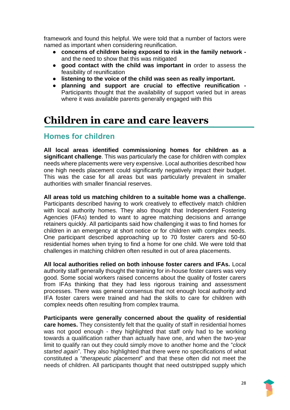framework and found this helpful. We were told that a number of factors were named as important when considering reunification.

- **concerns of children being exposed to risk in the family network**  and the need to show that this was mitigated
- **good contact with the child was important in** order to assess the feasibility of reunification
- **listening to the voice of the child was seen as really important.**
- **planning and support are crucial to effective reunification -** Participants thought that the availability of support varied but in areas where it was available parents generally engaged with this

# <span id="page-27-0"></span>**Children in care and care leavers**

# <span id="page-27-1"></span>**Homes for children**

**All local areas identified commissioning homes for children as a significant challenge**. This was particularly the case for children with complex needs where placements were very expensive. Local authorities described how one high needs placement could significantly negatively impact their budget. This was the case for all areas but was particularly prevalent in smaller authorities with smaller financial reserves.

**All areas told us matching children to a suitable home was a challenge.**  Participants described having to work creatively to effectively match children with local authority homes. They also thought that Independent Fostering Agencies (IFAs) tended to want to agree matching decisions and arrange retainers quickly. All participants said how challenging it was to find homes for children in an emergency at short notice or for children with complex needs. One participant described approaching up to 70 foster carers and 50-60 residential homes when trying to find a home for one child. We were told that challenges in matching children often resulted in out of area placements.

**All local authorities relied on both inhouse foster carers and IFAs.** Local authority staff generally thought the training for in-house foster carers was very good. Some social workers raised concerns about the quality of foster carers from IFAs thinking that they had less rigorous training and assessment processes. There was general consensus that not enough local authority and IFA foster carers were trained and had the skills to care for children with complex needs often resulting from complex trauma.

**Participants were generally concerned about the quality of residential care homes.** They consistently felt that the quality of staff in residential homes was not good enough - they highlighted that staff only had to be working towards a qualification rather than actually have one, and when the two-year limit to qualify ran out they could simply move to another home and the "*clock started again*". They also highlighted that there were no specifications of what constituted a "*therapeutic placement*" and that these often did not meet the needs of children. All participants thought that need outstripped supply which

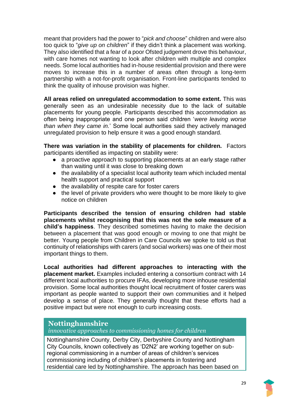meant that providers had the power to "*pick and choose*" children and were also too quick to "*give up on children*" if they didn't think a placement was working. They also identified that a fear of a poor Ofsted judgement drove this behaviour, with care homes not wanting to look after children with multiple and complex needs. Some local authorities had in-house residential provision and there were moves to increase this in a number of areas often through a long-term partnership with a not-for-profit organisation. Front-line participants tended to think the quality of inhouse provision was higher.

**All areas relied on unregulated accommodation to some extent.** This was generally seen as an undesirable necessity due to the lack of suitable placements for young people. Participants described this accommodation as often being inappropriate and one person said children '*were leaving worse than when they came in.*' Some local authorities said they actively managed unregulated provision to help ensure it was a good enough standard.

**There was variation in the stability of placements for children.** Factors participants identified as impacting on stability were:

- a proactive approach to supporting placements at an early stage rather than waiting until it was close to breaking down
- the availability of a specialist local authority team which included mental health support and practical support
- the availability of respite care for foster carers
- the level of private providers who were thought to be more likely to give notice on children

**Participants described the tension of ensuring children had stable placements whilst recognising that this was not the sole measure of a child's happiness**. They described sometimes having to make the decision between a placement that was good enough or moving to one that might be better. Young people from Children in Care Councils we spoke to told us that continuity of relationships with carers (and social workers) was one of their most important things to them.

**Local authorities had different approaches to interacting with the placement market.** Examples included entering a consortium contract with 14 different local authorities to procure IFAs, developing more inhouse residential provision. Some local authorities thought local recruitment of foster carers was important as people wanted to support their own communities and it helped develop a sense of place. They generally thought that these efforts had a positive impact but were not enough to curb increasing costs.

### **Nottinghamshire**

*innovative approaches to commissioning homes for children*

Nottinghamshire County, Derby City, Derbyshire County and Nottingham City Councils, known collectively as 'D2N2' are working together on subregional commissioning in a number of areas of children's services commissioning including of children's placements in fostering and residential care led by Nottinghamshire. The approach has been based on

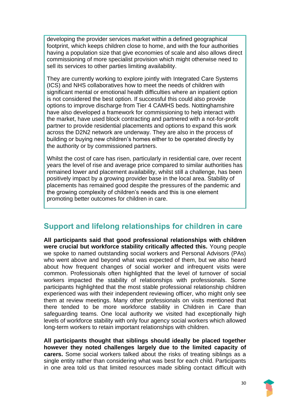developing the provider services market within a defined geographical footprint, which keeps children close to home, and with the four authorities having a population size that give economies of scale and also allows direct commissioning of more specialist provision which might otherwise need to sell its services to other parties limiting availability.

They are currently working to explore jointly with Integrated Care Systems (ICS) and NHS collaboratives how to meet the needs of children with significant mental or emotional health difficulties where an inpatient option is not considered the best option. If successful this could also provide options to improve discharge from Tier 4 CAMHS beds. Nottinghamshire have also developed a framework for commissioning to help interact with the market, have used block contracting and partnered with a not-for-profit partner to provide residential placements and options to expand this work across the D2N2 network are underway. They are also in the process of building or buying new children's homes either to be operated directly by the authority or by commissioned partners.

Whilst the cost of care has risen, particularly in residential care, over recent years the level of rise and average price compared to similar authorities has remained lower and placement availability, whilst still a challenge, has been positively impact by a growing provider base in the local area. Stability of placements has remained good despite the pressures of the pandemic and the growing complexity of children's needs and this is one element promoting better outcomes for children in care.

# <span id="page-29-0"></span>**Support and lifelong relationships for children in care**

**All participants said that good professional relationships with children were crucial but workforce stability critically affected this.** Young people we spoke to named outstanding social workers and Personal Advisors (PAs) who went above and beyond what was expected of them, but we also heard about how frequent changes of social worker and infrequent visits were common. Professionals often highlighted that the level of turnover of social workers impacted the stability of relationships with professionals. Some participants highlighted that the most stable professional relationship children experienced was with their independent reviewing officer, who might only see them at review meetings. Many other professionals on visits mentioned that there tended to be more workforce stability in Children in Care than safeguarding teams. One local authority we visited had exceptionally high levels of workforce stability with only four agency social workers which allowed long-term workers to retain important relationships with children.

**All participants thought that siblings should ideally be placed together however they noted challenges largely due to the limited capacity of carers.** Some social workers talked about the risks of treating siblings as a single entity rather than considering what was best for each child. Participants in one area told us that limited resources made sibling contact difficult with

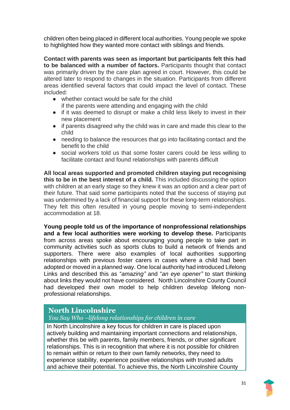children often being placed in different local authorities. Young people we spoke to highlighted how they wanted more contact with siblings and friends.

**Contact with parents was seen as important but participants felt this had to be balanced with a number of factors.** Participants thought that contact was primarily driven by the care plan agreed in court. However, this could be altered later to respond to changes in the situation. Participants from different areas identified several factors that could impact the level of contact. These included:

- whether contact would be safe for the child if the parents were attending and engaging with the child
- if it was deemed to disrupt or make a child less likely to invest in their new placement
- if parents disagreed why the child was in care and made this clear to the child
- needing to balance the resources that go into facilitating contact and the benefit to the child
- social workers told us that some foster carers could be less willing to facilitate contact and found relationships with parents difficult

**All local areas supported and promoted children staying put recognising this to be in the best interest of a child.** This included discussing the option with children at an early stage so they knew it was an option and a clear part of their future. That said some participants noted that the success of staying put was undermined by a lack of financial support for these long-term relationships. They felt this often resulted in young people moving to semi-independent accommodation at 18.

**Young people told us of the importance of nonprofessional relationships and a few local authorities were working to develop these.** Participants from across areas spoke about encouraging young people to take part in community activities such as sports clubs to build a network of friends and supporters. There were also examples of local authorities supporting relationships with previous foster carers in cases where a child had been adopted or moved in a planned way. One local authority had introduced Lifelong Links and described this as "*amazing"* and "*an eye opener"* to start thinking about links they would not have considered. North Lincolnshire County Council had developed their own model to help children develop lifelong nonprofessional relationships.

### **North Lincolnshire**

*You Say Who –lifelong relationships for children in care*

In North Lincolnshire a key focus for children in care is placed upon actively building and maintaining important connections and relationships, whether this be with parents, family members, friends, or other significant relationships. This is in recognition that where it is not possible for children to remain within or return to their own family networks, they need to experience stability, experience positive relationships with trusted adults and achieve their potential. To achieve this, the North Lincolnshire County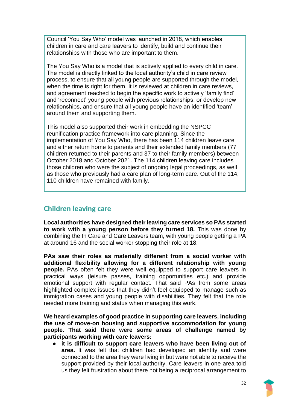Council 'You Say Who' model was launched in 2018, which enables children in care and care leavers to identify, build and continue their relationships with those who are important to them.

The You Say Who is a model that is actively applied to every child in care. The model is directly linked to the local authority's child in care review process, to ensure that all young people are supported through the model, when the time is right for them. It is reviewed at children in care reviews, and agreement reached to begin the specific work to actively 'family find' and 'reconnect' young people with previous relationships, or develop new relationships, and ensure that all young people have an identified 'team' around them and supporting them.

This model also supported their work in embedding the NSPCC reunification practice framework into care planning. Since the implementation of You Say Who, there has been 114 children leave care and either return home to parents and their extended family members (77 children returned to their parents and 37 to their family members) between October 2018 and October 2021. The 114 children leaving care includes those children who were the subject of ongoing legal proceedings, as well as those who previously had a care plan of long-term care. Out of the 114, 110 children have remained with family.

### <span id="page-31-0"></span>**Children leaving care**

**Local authorities have designed their leaving care services so PAs started to work with a young person before they turned 18.** This was done by combining the In Care and Care Leavers team, with young people getting a PA at around 16 and the social worker stopping their role at 18.

**PAs saw their roles as materially different from a social worker with additional flexibility allowing for a different relationship with young people.** PAs often felt they were well equipped to support care leavers in practical ways (leisure passes, training opportunities etc.) and provide emotional support with regular contact. That said PAs from some areas highlighted complex issues that they didn't feel equipped to manage such as immigration cases and young people with disabilities. They felt that the role needed more training and status when managing this work.

**We heard examples of good practice in supporting care leavers, including the use of move-on housing and supportive accommodation for young people. That said there were some areas of challenge named by participants working with care leavers:** 

● **it is difficult to support care leavers who have been living out of area.** It was felt that children had developed an identity and were connected to the area they were living in but were not able to receive the support provided by their local authority. Care leavers in one area told us they felt frustration about there not being a reciprocal arrangement to

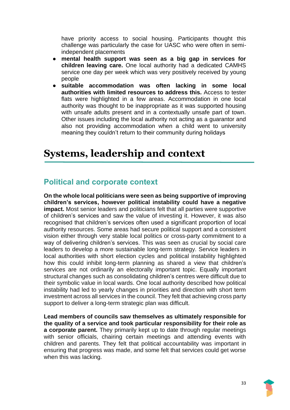have priority access to social housing. Participants thought this challenge was particularly the case for UASC who were often in semiindependent placements

- **mental health support was seen as a big gap in services for children leaving care.** One local authority had a dedicated CAMHS service one day per week which was very positively received by young people
- **suitable accommodation was often lacking in some local authorities with limited resources to address this.** Access to tester flats were highlighted in a few areas. Accommodation in one local authority was thought to be inappropriate as it was supported housing with unsafe adults present and in a contextually unsafe part of town. Other issues including the local authority not acting as a guarantor and also not providing accommodation when a child went to university meaning they couldn't return to their community during holidays

# <span id="page-32-0"></span>**Systems, leadership and context**

# <span id="page-32-1"></span>**Political and corporate context**

**On the whole local politicians were seen as being supportive of improving children's services, however political instability could have a negative impact.** Most senior leaders and politicians felt that all parties were supportive of children's services and saw the value of investing it. However, it was also recognised that children's services often used a significant proportion of local authority resources. Some areas had secure political support and a consistent vision either through very stable local politics or cross-party commitment to a way of delivering children's services. This was seen as crucial by social care leaders to develop a more sustainable long-term strategy. Service leaders in local authorities with short election cycles and political instability highlighted how this could inhibit long-term planning as shared a view that children's services are not ordinarily an electorally important topic. Equally important structural changes such as consolidating children's centres were difficult due to their symbolic value in local wards. One local authority described how political instability had led to yearly changes in priorities and direction with short term investment across all services in the council. They felt that achieving cross party support to deliver a long-term strategic plan was difficult.

**Lead members of councils saw themselves as ultimately responsible for the quality of a service and took particular responsibility for their role as a corporate parent.** They primarily kept up to date through regular meetings with senior officials, chairing certain meetings and attending events with children and parents. They felt that political accountability was important in ensuring that progress was made, and some felt that services could get worse when this was lacking.

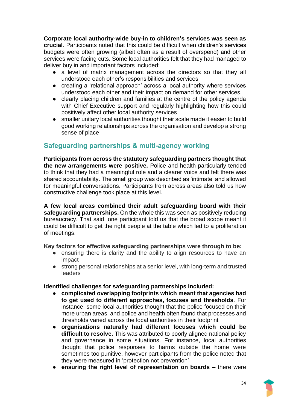**Corporate local authority-wide buy-in to children's services was seen as crucial**. Participants noted that this could be difficult when children's services budgets were often growing (albeit often as a result of overspend) and other services were facing cuts. Some local authorities felt that they had managed to deliver buy in and important factors included:

- a level of matrix management across the directors so that they all understood each other's responsibilities and services
- creating a 'relational approach' across a local authority where services understood each other and their impact on demand for other services.
- clearly placing children and families at the centre of the policy agenda with Chief Executive support and regularly highlighting how this could positively affect other local authority services
- smaller unitary local authorities thought their scale made it easier to build good working relationships across the organisation and develop a strong sense of place

### <span id="page-33-0"></span>**Safeguarding partnerships & multi-agency working**

**Participants from across the statutory safeguarding partners thought that the new arrangements were positive.** Police and health particularly tended to think that they had a meaningful role and a clearer voice and felt there was shared accountability. The small group was described as 'intimate' and allowed for meaningful conversations. Participants from across areas also told us how constructive challenge took place at this level.

**A few local areas combined their adult safeguarding board with their safeguarding partnerships.** On the whole this was seen as positively reducing bureaucracy. That said, one participant told us that the broad scope meant it could be difficult to get the right people at the table which led to a proliferation of meetings.

#### **Key factors for effective safeguarding partnerships were through to be:**

- ensuring there is clarity and the ability to align resources to have an impact
- strong personal relationships at a senior level, with long-term and trusted leaders

#### **Identified challenges for safeguarding partnerships included:**

- **complicated overlapping footprints which meant that agencies had to get used to different approaches, focuses and thresholds**. For instance, some local authorities thought that the police focused on their more urban areas, and police and health often found that processes and thresholds varied across the local authorities in their footprint
- **organisations naturally had different focuses which could be difficult to resolve.** This was attributed to poorly aligned national policy and governance in some situations. For instance, local authorities thought that police responses to harms outside the home were sometimes too punitive, however participants from the police noted that they were measured in 'protection not prevention'
- **ensuring the right level of representation on boards**  there were

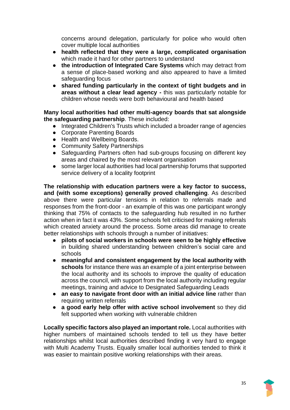concerns around delegation, particularly for police who would often cover multiple local authorities

- **health reflected that they were a large, complicated organisation**  which made it hard for other partners to understand
- **the introduction of Integrated Care Systems** which may detract from a sense of place-based working and also appeared to have a limited safeguarding focus
- **shared funding particularly in the context of tight budgets and in areas without a clear lead agency -** this was particularly notable for children whose needs were both behavioural and health based

#### **Many local authorities had other multi-agency boards that sat alongside the safeguarding partnership**. These included:

- Integrated Children's Trusts which included a broader range of agencies
- Corporate Parenting Boards
- Health and Wellbeing Boards.
- Community Safety Partnerships
- Safeguarding Partners often had sub-groups focusing on different key areas and chaired by the most relevant organisation
- some larger local authorities had local partnership forums that supported service delivery of a locality footprint

**The relationship with education partners were a key factor to success, and (with some exceptions) generally proved challenging**. As described above there were particular tensions in relation to referrals made and responses from the front-door - an example of this was one participant wrongly thinking that 75% of contacts to the safeguarding hub resulted in no further action when in fact it was 43%. Some schools felt criticised for making referrals which created anxiety around the process. Some areas did manage to create better relationships with schools through a number of initiatives:

- pilots of social workers in schools were seen to be highly effective in building shared understanding between children's social care and schools
- **meaningful and consistent engagement by the local authority with schools** for instance there was an example of a joint enterprise between the local authority and its schools to improve the quality of education across the council, with support from the local authority including regular meetings, training and advice to Designated Safeguarding Leads
- **an easy to navigate front door with an initial advice line** rather than requiring written referrals
- **a good early help offer with active school involvement** so they did felt supported when working with vulnerable children

**Locally specific factors also played an important role.** Local authorities with higher numbers of maintained schools tended to tell us they have better relationships whilst local authorities described finding it very hard to engage with Multi Academy Trusts. Equally smaller local authorities tended to think it was easier to maintain positive working relationships with their areas.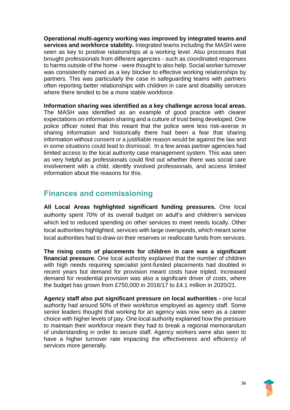**Operational multi-agency working was improved by integrated teams and services and workforce stability.** Integrated teams including the MASH were seen as key to positive relationships at a working level. Also processes that brought professionals from different agencies - such as coordinated responses to harms outside of the home - were thought to also help. Social worker turnover was consistently named as a key blocker to effective working relationships by partners. This was particularly the case in safeguarding teams with partners often reporting better relationships with children in care and disability services where there tended to be a more stable workforce.

**Information sharing was identified as a key challenge across local areas.**  The MASH was identified as an example of good practice with clearer expectations on information sharing and a culture of trust being developed. One police officer noted that this meant that the police were less risk-averse in sharing information and historically there had been a fear that sharing information without consent or a justifiable reason would be against the law and in some situations could lead to dismissal. In a few areas partner agencies had limited access to the local authority case management system. This was seen as very helpful as professionals could find out whether there was social care involvement with a child, identify involved professionals, and access limited information about the reasons for this.

# <span id="page-35-0"></span>**Finances and commissioning**

**All Local Areas highlighted significant funding pressures.** One local authority spent 70% of its overall budget on adult's and children's services which led to reduced spending on other services to meet needs locally. Other local authorities highlighted, services with large overspends, which meant some local authorities had to draw on their reserves or reallocate funds from services.

**The rising costs of placements for children in care was a significant financial pressure.** One local authority explained that the number of children with high needs requiring specialist joint-funded placements had doubled in recent years but demand for provision meant costs have tripled. Increased demand for residential provision was also a significant driver of costs, where the budget has grown from £750,000 in 2016/17 to £4.1 million in 2020/21.

**Agency staff also put significant pressure on local authorities -** one local authority had around 50% of their workforce employed as agency staff. Some senior leaders thought that working for an agency was now seen as a career choice with higher levels of pay. One local authority explained how the pressure to maintain their workforce meant they had to break a regional memorandum of understanding in order to secure staff. Agency workers were also seen to have a higher turnover rate impacting the effectiveness and efficiency of services more generally.

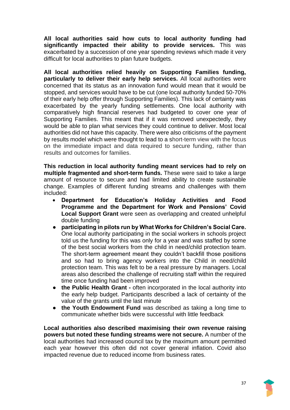**All local authorities said how cuts to local authority funding had significantly impacted their ability to provide services.** This was exacerbated by a succession of one year spending reviews which made it very difficult for local authorities to plan future budgets.

**All local authorities relied heavily on Supporting Families funding, particularly to deliver their early help services.** All local authorities were concerned that its status as an innovation fund would mean that it would be stopped, and services would have to be cut (one local authority funded 50-70% of their early help offer through Supporting Families). This lack of certainty was exacerbated by the yearly funding settlements. One local authority with comparatively high financial reserves had budgeted to cover one year of Supporting Families. This meant that if it was removed unexpectedly, they would be able to plan what services they could continue to deliver. Most local authorities did not have this capacity. There were also criticisms of the payment by results model which were thought to lead to a short-term view with the focus on the immediate impact and data required to secure funding, rather than results and outcomes for families.

**This reduction in local authority funding meant services had to rely on multiple fragmented and short-term funds.** These were said to take a large amount of resource to secure and had limited ability to create sustainable change. Examples of different funding streams and challenges with them included:

- **Department for Education's Holiday Activities and Food Programme and the Department for Work and Pensions' Covid Local Support Grant** were seen as overlapping and created unhelpful double funding
- **participating in pilots run by What Works for Children's Social Care.**  One local authority participating in the social workers in schools project told us the funding for this was only for a year and was staffed by some of the best social workers from the child in need/child protection team. The short-term agreement meant they couldn't backfill those positions and so had to bring agency workers into the Child in need/child protection team. This was felt to be a real pressure by managers. Local areas also described the challenge of recruiting staff within the required time once funding had been improved
- **the Public Health Grant -** often incorporated in the local authority into the early help budget. Participants described a lack of certainty of the value of the grants until the last minute
- **the Youth Endowment Fund** was described as taking a long time to communicate whether bids were successful with little feedback

**Local authorities also described maximising their own revenue raising powers but noted these funding streams were not secure.** A number of the local authorities had increased council tax by the maximum amount permitted each year however this often did not cover general inflation. Covid also impacted revenue due to reduced income from business rates.

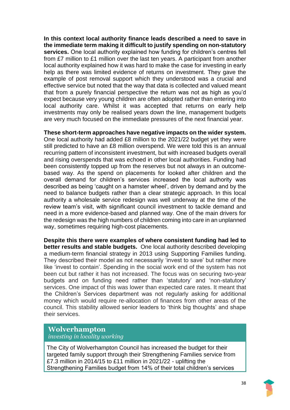**In this context local authority finance leads described a need to save in the immediate term making it difficult to justify spending on non-statutory services.** One local authority explained how funding for children's centres fell from £7 million to £1 million over the last ten years. A participant from another local authority explained how it was hard to make the case for investing in early help as there was limited evidence of returns on investment. They gave the example of post removal support which they understood was a crucial and effective service but noted that the way that data is collected and valued meant that from a purely financial perspective the return was not as high as you'd expect because very young children are often adopted rather than entering into local authority care. Whilst it was accepted that returns on early help investments may only be realised years down the line, management budgets are very much focused on the immediate pressures of the next financial year.

**These short-term approaches have negative impacts on the wider system.**  One local authority had added £8 million to the 2021/22 budget yet they were still predicted to have an £8 million overspend. We were told this is an annual recurring pattern of inconsistent investment, but with increased budgets overall and rising overspends that was echoed in other local authorities. Funding had been consistently topped up from the reserves but not always in an outcomebased way. As the spend on placements for looked after children and the overall demand for children's services increased the local authority was described as being 'caught on a hamster wheel', driven by demand and by the need to balance budgets rather than a clear strategic approach. In this local authority a wholesale service redesign was well underway at the time of the review team's visit, with significant council investment to tackle demand and need in a more evidence-based and planned way. One of the main drivers for the redesign was the high numbers of children coming into care in an unplanned way, sometimes requiring high-cost placements.

**Despite this there were examples of where consistent funding had led to better results and stable budgets.** One local authority described developing a medium-term financial strategy in 2013 using Supporting Families funding. They described their model as not necessarily 'invest to save' but rather more like 'invest to contain'. Spending in the social work end of the system has not been cut but rather it has not increased. The focus was on securing two-year budgets and on funding need rather than 'statutory' and 'non-statutory' services. One impact of this was lower than expected care rates. It meant that the Children's Services department was not regularly asking for additional money which would require re-allocation of finances from other areas of the council. This stability allowed senior leaders to 'think big thoughts' and shape their services.

#### **Wolverhampton**

*investing in locality working* 

The City of Wolverhampton Council has increased the budget for their targeted family support through their Strengthening Families service from £7.3 million in 2014/15 to £11 million in 2021/22 - uplifting the Strengthening Families budget from 14% of their total children's services

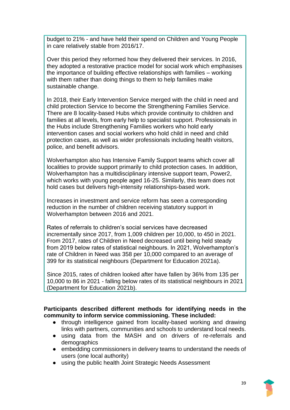budget to 21% - and have held their spend on Children and Young People in care relatively stable from 2016/17.

Over this period they reformed how they delivered their services. In 2016, they adopted a restorative practice model for social work which emphasises the importance of building effective relationships with families – working with them rather than doing things to them to help families make sustainable change.

In 2018, their Early Intervention Service merged with the child in need and child protection Service to become the Strengthening Families Service. There are 8 locality-based Hubs which provide continuity to children and families at all levels, from early help to specialist support. Professionals in the Hubs include Strengthening Families workers who hold early intervention cases and social workers who hold child in need and child protection cases, as well as wider professionals including health visitors, police, and benefit advisors.

Wolverhampton also has Intensive Family Support teams which cover all localities to provide support primarily to child protection cases. In addition, Wolverhampton has a multidisciplinary intensive support team, Power2, which works with young people aged 16-25. Similarly, this team does not hold cases but delivers high-intensity relationships-based work.

Increases in investment and service reform has seen a corresponding reduction in the number of children receiving statutory support in Wolverhampton between 2016 and 2021.

Rates of referrals to children's social services have decreased incrementally since 2017, from 1,009 children per 10,000, to 450 in 2021. From 2017, rates of Children in Need decreased until being held steady from 2019 below rates of statistical neighbours. In 2021, Wolverhampton's rate of Children in Need was 358 per 10,000 compared to an average of 399 for its statistical neighbours (Department for Education 2021a).

Since 2015, rates of children looked after have fallen by 36% from 135 per 10,000 to 86 in 2021 - falling below rates of its statistical neighbours in 2021 (Department for Education 2021b).

**Participants described different methods for identifying needs in the community to inform service commissioning. These included:**

- through intelligence gained from locality-based working and drawing links with partners, communities and schools to understand local needs.
- using data from the MASH and on drivers of re-referrals and demographics
- embedding commissioners in delivery teams to understand the needs of users (one local authority)
- using the public health Joint Strategic Needs Assessment

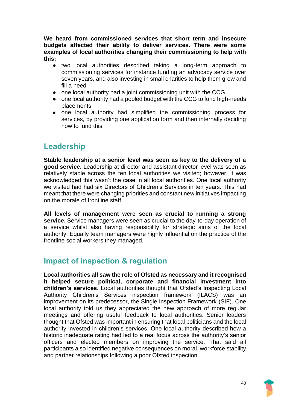**We heard from commissioned services that short term and insecure budgets affected their ability to deliver services. There were some examples of local authorities changing their commissioning to help with this:** 

- two local authorities described taking a long-term approach to commissioning services for instance funding an advocacy service over seven years, and also investing in small charities to help them grow and fill a need
- one local authority had a joint commissioning unit with the CCG
- one local authority had a pooled budget with the CCG to fund high-needs placements
- one local authority had simplified the commissioning process for services, by providing one application form and then internally deciding how to fund this

# <span id="page-39-0"></span>**Leadership**

**Stable leadership at a senior level was seen as key to the delivery of a good service.** Leadership at director and assistant director level was seen as relatively stable across the ten local authorities we visited; however, it was acknowledged this wasn't the case in all local authorities. One local authority we visited had had six Directors of Children's Services in ten years. This had meant that there were changing priorities and constant new initiatives impacting on the morale of frontline staff.

**All levels of management were seen as crucial to running a strong service.** Service managers were seen as crucial to the day-to-day operation of a service whilst also having responsibility for strategic aims of the local authority. Equally team managers were highly influential on the practice of the frontline social workers they managed.

# <span id="page-39-1"></span>**Impact of inspection & regulation**

**Local authorities all saw the role of Ofsted as necessary and it recognised it helped secure political, corporate and financial investment into children's services.** Local authorities thought that Ofsted's Inspecting Local Authority Children's Services inspection framework (ILACS) was an improvement on its predecessor, the Single Inspection Framework (SIF). One local authority told us they appreciated the new approach of more regular meetings and offering useful feedback to local authorities. Senior leaders thought that Ofsted was important in ensuring that local politicians and the local authority invested in children's services. One local authority described how a historic inadequate rating had led to a real focus across the authority's senior officers and elected members on improving the service. That said all participants also identified negative consequences on moral, workforce stability and partner relationships following a poor Ofsted inspection.

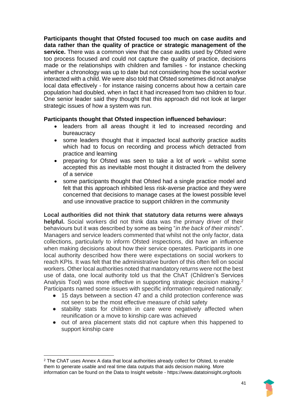**Participants thought that Ofsted focused too much on case audits and data rather than the quality of practice or strategic management of the service.** There was a common view that the case audits used by Ofsted were too process focused and could not capture the quality of practice, decisions made or the relationships with children and families - for instance checking whether a chronology was up to date but not considering how the social worker interacted with a child. We were also told that Ofsted sometimes did not analyse local data effectively - for instance raising concerns about how a certain care population had doubled, when in fact it had increased from two children to four. One senior leader said they thought that this approach did not look at larger strategic issues of how a system was run.

#### **Participants thought that Ofsted inspection influenced behaviour:**

- leaders from all areas thought it led to increased recording and bureaucracy
- some leaders thought that it impacted local authority practice audits which had to focus on recording and process which detracted from practice and learning
- preparing for Ofsted was seen to take a lot of work whilst some accepted this as inevitable most thought it distracted from the delivery of a service
- some participants thought that Ofsted had a single practice model and felt that this approach inhibited less risk-averse practice and they were concerned that decisions to manage cases at the lowest possible level and use innovative practice to support children in the community

**Local authorities did not think that statutory data returns were always helpful.** Social workers did not think data was the primary driver of their behaviours but it was described by some as being "*in the back of their minds*". Managers and service leaders commented that whilst not the only factor, data collections, particularly to inform Ofsted inspections, did have an influence when making decisions about how their service operates. Participants in one local authority described how there were expectations on social workers to reach KPIs. It was felt that the administrative burden of this often fell on social workers. Other local authorities noted that mandatory returns were not the best use of data, one local authority told us that the ChAT (Children's Services Analysis Tool) was more effective in supporting strategic decision making.<sup>2</sup> Participants named some issues with specific information required nationally:

- 15 days between a section 47 and a child protection conference was not seen to be the most effective measure of child safety
- stability stats for children in care were negatively affected when reunification or a move to kinship care was achieved
- out of area placement stats did not capture when this happened to support kinship care

<sup>2</sup> The ChAT uses Annex A data that local authorities already collect for Ofsted, to enable them to generate usable and real time data outputs that aids decision making. More information can be found on the Data to Insight website - https://www.datatoinsight.org/tools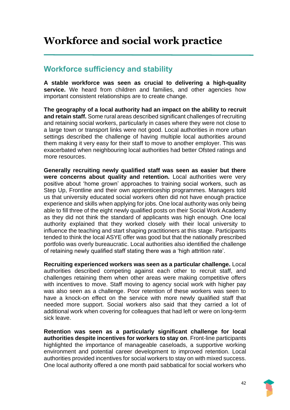# <span id="page-41-0"></span>**Workforce and social work practice**

### <span id="page-41-1"></span>**Workforce sufficiency and stability**

**A stable workforce was seen as crucial to delivering a high-quality service.** We heard from children and families, and other agencies how important consistent relationships are to create change.

**The geography of a local authority had an impact on the ability to recruit and retain staff.** Some rural areas described significant challenges of recruiting and retaining social workers, particularly in cases where they were not close to a large town or transport links were not good. Local authorities in more urban settings described the challenge of having multiple local authorities around them making it very easy for their staff to move to another employer. This was exacerbated when neighbouring local authorities had better Ofsted ratings and more resources.

**Generally recruiting newly qualified staff was seen as easier but there were concerns about quality and retention.** Local authorities were very positive about 'home grown' approaches to training social workers, such as Step Up, Frontline and their own apprenticeship programmes. Managers told us that university educated social workers often did not have enough practice experience and skills when applying for jobs. One local authority was only being able to fill three of the eight newly qualified posts on their Social Work Academy as they did not think the standard of applicants was high enough. One local authority explained that they worked closely with their local university to influence the teaching and start shaping practitioners at this stage. Participants tended to think the local ASYE offer was good but that the nationally prescribed portfolio was overly bureaucratic. Local authorities also identified the challenge of retaining newly qualified staff stating there was a 'high attrition rate'.

**Recruiting experienced workers was seen as a particular challenge.** Local authorities described competing against each other to recruit staff, and challenges retaining them when other areas were making competitive offers with incentives to move. Staff moving to agency social work with higher pay was also seen as a challenge. Poor retention of these workers was seen to have a knock-on effect on the service with more newly qualified staff that needed more support. Social workers also said that they carried a lot of additional work when covering for colleagues that had left or were on long-term sick leave.

**Retention was seen as a particularly significant challenge for local authorities despite incentives for workers to stay on**. Front-line participants highlighted the importance of manageable caseloads, a supportive working environment and potential career development to improved retention. Local authorities provided incentives for social workers to stay on with mixed success. One local authority offered a one month paid sabbatical for social workers who

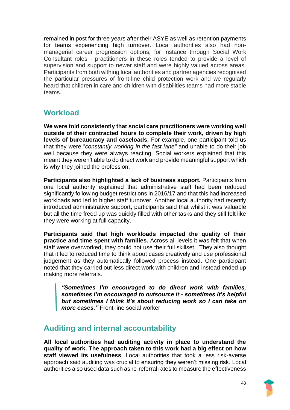remained in post for three years after their ASYE as well as retention payments for teams experiencing high turnover. Local authorities also had nonmanagerial career progression options, for instance through Social Work Consultant roles - practitioners in these roles tended to provide a level of supervision and support to newer staff and were highly valued across areas. Participants from both withing local authorities and partner agencies recognised the particular pressures of front-line child protection work and we regularly heard that children in care and children with disabilities teams had more stable teams.

# <span id="page-42-0"></span>**Workload**

**We were told consistently that social care practitioners were working well outside of their contracted hours to complete their work, driven by high levels of bureaucracy and caseloads.** For example, one participant told us that they were "*constantly working in the fast lane"* and unable to do their job well because they were always reacting. Social workers explained that this meant they weren't able to do direct work and provide meaningful support which is why they joined the profession.

**Participants also highlighted a lack of business support.** Participants from one local authority explained that administrative staff had been reduced significantly following budget restrictions in 2016/17 and that this had increased workloads and led to higher staff turnover. Another local authority had recently introduced administrative support, participants said that whilst it was valuable but all the time freed up was quickly filled with other tasks and they still felt like they were working at full capacity.

**Participants said that high workloads impacted the quality of their practice and time spent with families.** Across all levels it was felt that when staff were overworked, they could not use their full skillset. They also thought that it led to reduced time to think about cases creatively and use professional judgement as they automatically followed process instead. One participant noted that they carried out less direct work with children and instead ended up making more referrals.

*"Sometimes I'm encouraged to do direct work with families, sometimes I'm encouraged to outsource it - sometimes it's helpful but sometimes I think it's about reducing work so I can take on more cases."* Front-line social worker

# <span id="page-42-1"></span>**Auditing and internal accountability**

**All local authorities had auditing activity in place to understand the quality of work. The approach taken to this work had a big effect on how staff viewed its usefulness**. Local authorities that took a less risk-averse approach said auditing was crucial to ensuring they weren't missing risk. Local authorities also used data such as re-referral rates to measure the effectiveness

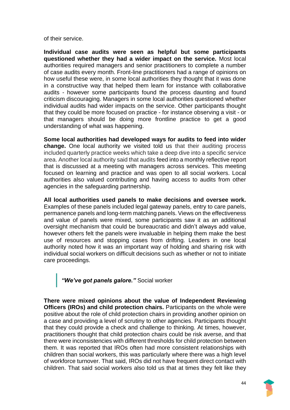of their service.

**Individual case audits were seen as helpful but some participants questioned whether they had a wider impact on the service.** Most local authorities required managers and senior practitioners to complete a number of case audits every month. Front-line practitioners had a range of opinions on how useful these were, in some local authorities they thought that it was done in a constructive way that helped them learn for instance with collaborative audits - however some participants found the process daunting and found criticism discouraging. Managers in some local authorities questioned whether individual audits had wider impacts on the service. Other participants thought that they could be more focused on practice - for instance observing a visit - or that managers should be doing more frontline practice to get a good understanding of what was happening.

**Some local authorities had developed ways for audits to feed into wider change.** One local authority we visited told us that their auditing process included quarterly practice weeks which take a deep dive into a specific service area. Another local authority said that audits feed into a monthly reflective report that is discussed at a meeting with managers across services. This meeting focused on learning and practice and was open to all social workers. Local authorities also valued contributing and having access to audits from other agencies in the safeguarding partnership.

**All local authorities used panels to make decisions and oversee work.**  Examples of these panels included legal gateway panels, entry to care panels, permanence panels and long-term matching panels. Views on the effectiveness and value of panels were mixed, some participants saw it as an additional oversight mechanism that could be bureaucratic and didn't always add value, however others felt the panels were invaluable in helping them make the best use of resources and stopping cases from drifting. Leaders in one local authority noted how it was an important way of holding and sharing risk with individual social workers on difficult decisions such as whether or not to initiate care proceedings.

*"We've got panels galore."* Social worker

**There were mixed opinions about the value of Independent Reviewing Officers (IROs) and child protection chairs.** Participants on the whole were positive about the role of child protection chairs in providing another opinion on a case and providing a level of scrutiny to other agencies. Participants thought that they could provide a check and challenge to thinking. At times, however, practitioners thought that child protection chairs could be risk averse, and that there were inconsistencies with different thresholds for child protection between them. It was reported that IROs often had more consistent relationships with children than social workers, this was particularly where there was a high level of workforce turnover. That said, IROs did not have frequent direct contact with children. That said social workers also told us that at times they felt like they

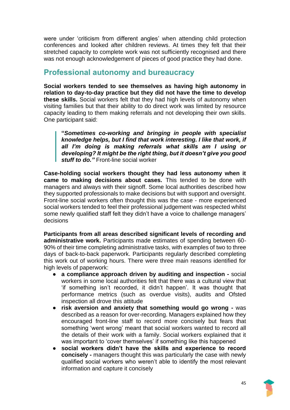were under 'criticism from different angles' when attending child protection conferences and looked after children reviews. At times they felt that their stretched capacity to complete work was not sufficiently recognised and there was not enough acknowledgement of pieces of good practice they had done.

### <span id="page-44-0"></span>**Professional autonomy and bureaucracy**

**Social workers tended to see themselves as having high autonomy in relation to day-to-day practice but they did not have the time to develop these skills.** Social workers felt that they had high levels of autonomy when visiting families but that their ability to do direct work was limited by resource capacity leading to them making referrals and not developing their own skills. One participant said:

**"***Sometimes co-working and bringing in people with specialist knowledge helps, but I find that work interesting. I like that work, if all I'm doing is making referrals what skills am I using or developing? It might be the right thing, but it doesn't give you good stuff to do."* Front-line social worker

**Case-holding social workers thought they had less autonomy when it came to making decisions about cases.** This tended to be done with managers and always with their signoff. Some local authorities described how they supported professionals to make decisions but with support and oversight. Front-line social workers often thought this was the case - more experienced social workers tended to feel their professional judgement was respected whilst some newly qualified staff felt they didn't have a voice to challenge managers' decisions

**Participants from all areas described significant levels of recording and administrative work.** Participants made estimates of spending between 60- 90% of their time completing administrative tasks, with examples of two to three days of back-to-back paperwork. Participants regularly described completing this work out of working hours. There were three main reasons identified for high levels of paperwork:

- **a compliance approach driven by auditing and inspection -** social workers in some local authorities felt that there was a cultural view that 'if something isn't recorded, it didn't happen'. It was thought that performance metrics (such as overdue visits), audits and Ofsted inspection all drove this attitude
- **risk aversion and anxiety that something would go wrong -** was described as a reason for over-recording. Managers explained how they encouraged front-line staff to record more concisely but fears that something 'went wrong' meant that social workers wanted to record all the details of their work with a family. Social workers explained that it was important to 'cover themselves' if something like this happened
- **social workers didn't have the skills and experience to record concisely -** managers thought this was particularly the case with newly qualified social workers who weren't able to identify the most relevant information and capture it concisely

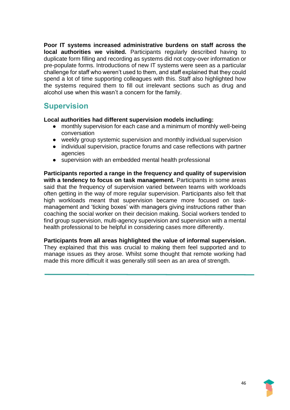**Poor IT systems increased administrative burdens on staff across the local authorities we visited.** Participants regularly described having to duplicate form filling and recording as systems did not copy-over information or pre-populate forms. Introductions of new IT systems were seen as a particular challenge for staff who weren't used to them, and staff explained that they could spend a lot of time supporting colleagues with this. Staff also highlighted how the systems required them to fill out irrelevant sections such as drug and alcohol use when this wasn't a concern for the family.

### <span id="page-45-0"></span>**Supervision**

#### **Local authorities had different supervision models including:**

- monthly supervision for each case and a minimum of monthly well-being conversation
- weekly group systemic supervision and monthly individual supervision
- individual supervision, practice forums and case reflections with partner agencies
- supervision with an embedded mental health professional

**Participants reported a range in the frequency and quality of supervision**  with a tendency to focus on task management. Participants in some areas said that the frequency of supervision varied between teams with workloads often getting in the way of more regular supervision. Participants also felt that high workloads meant that supervision became more focused on taskmanagement and 'ticking boxes' with managers giving instructions rather than coaching the social worker on their decision making. Social workers tended to find group supervision, multi-agency supervision and supervision with a mental health professional to be helpful in considering cases more differently.

**Participants from all areas highlighted the value of informal supervision.**  They explained that this was crucial to making them feel supported and to manage issues as they arose. Whilst some thought that remote working had made this more difficult it was generally still seen as an area of strength.

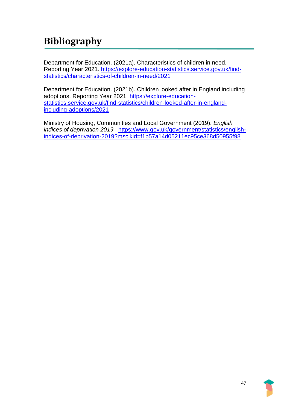# <span id="page-46-0"></span>**Bibliography**

Department for Education. (2021a). Characteristics of children in need, Reporting Year 2021. [https://explore-education-statistics.service.gov.uk/find](https://explore-education-statistics.service.gov.uk/find-statistics/characteristics-of-children-in-need/2021)[statistics/characteristics-of-children-in-need/2021](https://explore-education-statistics.service.gov.uk/find-statistics/characteristics-of-children-in-need/2021)

Department for Education. (2021b). Children looked after in England including adoptions, Reporting Year 2021. [https://explore-education](https://explore-education-statistics.service.gov.uk/find-statistics/children-looked-after-in-england-including-adoptions/2021)[statistics.service.gov.uk/find-statistics/children-looked-after-in-england](https://explore-education-statistics.service.gov.uk/find-statistics/children-looked-after-in-england-including-adoptions/2021)[including-adoptions/2021](https://explore-education-statistics.service.gov.uk/find-statistics/children-looked-after-in-england-including-adoptions/2021)

Ministry of Housing, Communities and Local Government (2019). *English indices of deprivation 2019.* [https://www.gov.uk/government/statistics/english](https://www.gov.uk/government/statistics/english-indices-of-deprivation-2019?msclkid=f1b57a14d05211ec95ce368d50955f98)[indices-of-deprivation-2019?msclkid=f1b57a14d05211ec95ce368d50955f98](https://www.gov.uk/government/statistics/english-indices-of-deprivation-2019?msclkid=f1b57a14d05211ec95ce368d50955f98)

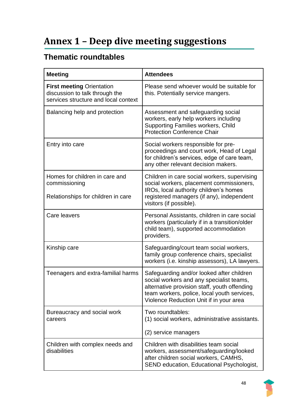# <span id="page-47-0"></span>**Annex 1 – Deep dive meeting suggestions**

# **Thematic roundtables**

| <b>Meeting</b>                                                                                             | <b>Attendees</b>                                                                                                                                                                                                                |
|------------------------------------------------------------------------------------------------------------|---------------------------------------------------------------------------------------------------------------------------------------------------------------------------------------------------------------------------------|
| <b>First meeting Orientation</b><br>discussion to talk through the<br>services structure and local context | Please send whoever would be suitable for<br>this. Potentially service mangers.                                                                                                                                                 |
| Balancing help and protection                                                                              | Assessment and safeguarding social<br>workers, early help workers including<br><b>Supporting Families workers, Child</b><br><b>Protection Conference Chair</b>                                                                  |
| Entry into care                                                                                            | Social workers responsible for pre-<br>proceedings and court work, Head of Legal<br>for children's services, edge of care team,<br>any other relevant decision makers.                                                          |
| Homes for children in care and<br>commissioning<br>Relationships for children in care                      | Children in care social workers, supervising<br>social workers, placement commissioners,<br>IROs, local authority children's homes<br>registered managers (if any), independent<br>visitors (if possible).                      |
| Care leavers                                                                                               | Personal Assistants, children in care social<br>workers (particularly if in a transition/older<br>child team), supported accommodation<br>providers.                                                                            |
| Kinship care                                                                                               | Safeguarding/court team social workers,<br>family group conference chairs, specialist<br>workers (i.e. kinship assessors), LA lawyers.                                                                                          |
| Teenagers and extra-familial harms                                                                         | Safeguarding and/or looked after children<br>social workers and any specialist teams,<br>alternative provision staff, youth offending<br>team workers, police, local youth services,<br>Violence Reduction Unit if in your area |
| Bureaucracy and social work<br>careers                                                                     | Two roundtables:<br>(1) social workers, administrative assistants.<br>(2) service managers                                                                                                                                      |
| Children with complex needs and<br>disabilities                                                            | Children with disabilities team social<br>workers, assessment/safeguarding/looked<br>after children social workers, CAMHS,<br>SEND education, Educational Psychologist,                                                         |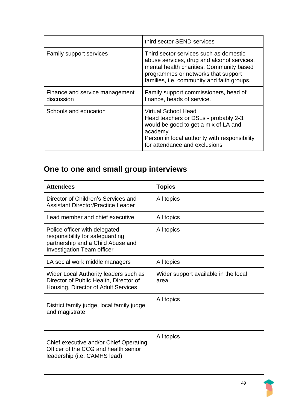|                                              | third sector SEND services                                                                                                                                                                                            |
|----------------------------------------------|-----------------------------------------------------------------------------------------------------------------------------------------------------------------------------------------------------------------------|
| Family support services                      | Third sector services such as domestic<br>abuse services, drug and alcohol services,<br>mental health charities. Community based<br>programmes or networks that support<br>families, i.e. community and faith groups. |
| Finance and service management<br>discussion | Family support commissioners, head of<br>finance, heads of service.                                                                                                                                                   |
| Schools and education                        | <b>Virtual School Head</b><br>Head teachers or DSLs - probably 2-3,<br>would be good to get a mix of LA and<br>academy<br>Person in local authority with responsibility<br>for attendance and exclusions              |

# **One to one and small group interviews**

| <b>Attendees</b>                                                                                                                           | <b>Topics</b>                                 |
|--------------------------------------------------------------------------------------------------------------------------------------------|-----------------------------------------------|
| Director of Children's Services and<br><b>Assistant Director/Practice Leader</b>                                                           | All topics                                    |
| Lead member and chief executive                                                                                                            | All topics                                    |
| Police officer with delegated<br>responsibility for safeguarding<br>partnership and a Child Abuse and<br><b>Investigation Team officer</b> | All topics                                    |
| LA social work middle managers                                                                                                             | All topics                                    |
| Wider Local Authority leaders such as<br>Director of Public Health, Director of<br>Housing, Director of Adult Services                     | Wider support available in the local<br>area. |
| District family judge, local family judge<br>and magistrate                                                                                | All topics                                    |
| Chief executive and/or Chief Operating<br>Officer of the CCG and health senior<br>leadership (i.e. CAMHS lead)                             | All topics                                    |